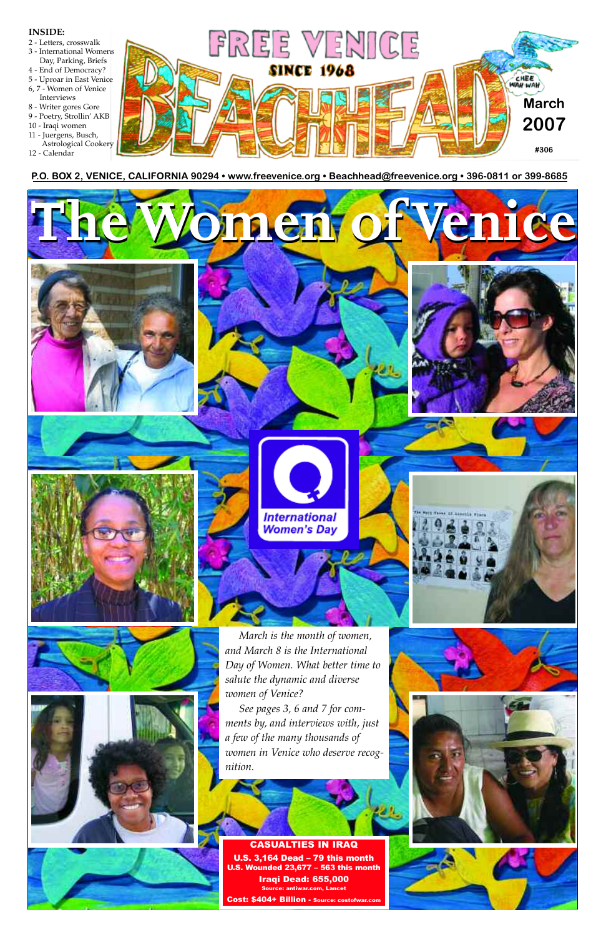**P.O. BOX 2, VENICE, CALIFORNIA 90294 • www.freevenice.org • Beachhead@freevenice.org • 396-0811 or 399-8685** 



#### CASUALTIES IN IRAQ

U.S. 3,164 Dead – 79 this month U.S. Wounded 23,677 – 563 this month Iraqi Dead: 655,000 Source: antiwar.com, Lancet

Cost: \$404+ Billion - Source: costof





#### **INSIDE:**

- 2 Letters, crosswalk
- 3 International Womens
- Day, Parking, Briefs
- 4 End of Democracy?
- 5 Uproar in East Venice
- 6, 7 Women of Venice Interviews
- 8 Writer gores Gore
- 9 Poetry, Strollin' AKB
- 10 Iraqi women
- 11 Juergens, Busch,
- Astrological Cookery
- 12 Calendar

*salute the dynamic and diverse*



*women of Venice?*







*See pages 3, 6 and 7 for comments by, and interviews with, just a few of the many thousands of women in Venice who deserve recognition.*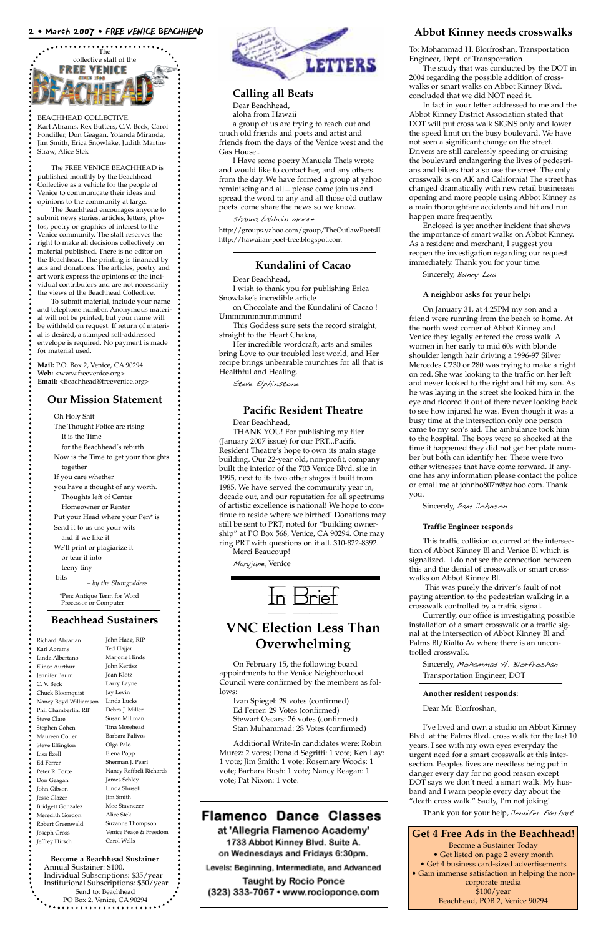

BEACHHEAD COLLECTIVE: Karl Abrams, Rex Butters, C.V. Beck, Carol Fondiller, Don Geagan, Yolanda Miranda, Jim Smith, Erica Snowlake, Judith Martin-Straw, Alice Stek

The FREE VENICE BEACHHEAD is published monthly by the Beachhead Collective as a vehicle for the people of Venice to communicate their ideas and opinions to the community at large.

**Mail:** P.O. Box 2, Venice, CA 90294. **Web:** <www.freevenice.org> Email: <Beachhead@freevenice.org>

The Beachhead encourages anyone to submit news stories, articles, letters, photos, poetry or graphics of interest to the Venice community. The staff reserves the right to make all decisions collectively on material published. There is no editor on the Beachhead. The printing is financed by ads and donations. The articles, poetry and art work express the opinions of the individual contributors and are not necessarily the views of the Beachhead Collective.

To submit material, include your name and telephone number. Anonymous material will not be printed, but your name will be withheld on request. If return of material is desired, a stamped self-addressed envelope is required. No payment is made for material used.

#### **Our Mission Statement**

Oh Holy Shit

The Thought Police are rising It is the Time for the Beachhead's rebirth Now is the Time to get your thoughts

together

If you care whether

you have a thought of any worth. Thoughts left of Center

Homeowner or Renter

Put your Head where your Pen\* is

Send it to us use your wits

and if we like it

We'll print or plagiarize it or tear it into

teeny tiny

bits

*– by the Slumgoddess*

\*Pen: Antique Term for Word Processor or Computer

on Chocolate and the Kundalini of Cacao ! Ummmmmmmmmm!

#### **Beachhead Sustainers**

#### **Calling all Beats**

Dear Beachhead, aloha from Hawaii

a group of us are trying to reach out and touch old friends and poets and artist and friends from the days of the Venice west and the Gas House..

I Have some poetry Manuela Theis wrote and would like to contact her, and any others from the day..We have formed a group at yahoo reminiscing and all... please come join us and spread the word to any and all those old outlaw poets..come share the news so we know.

shanna baldwin moore

http://groups.yahoo.com/group/TheOutlawPoetsII http://hawaiian-poet-tree.blogspot.com

#### 2 • March 2007 • FREE VENICE BEACHHEAD

Richard Abcarian Karl Abrams Linda Albertano Elinor Aurthur Jennifer Baum C. V. Beck

| Jay Levin                                                                                                                                                                                            |
|------------------------------------------------------------------------------------------------------------------------------------------------------------------------------------------------------|
| Linda Lucks                                                                                                                                                                                          |
| Debra J. Miller                                                                                                                                                                                      |
| Susan Millman                                                                                                                                                                                        |
| Tina Morehead                                                                                                                                                                                        |
| Barbara Palivos                                                                                                                                                                                      |
| Olga Palo                                                                                                                                                                                            |
| Elena Popp                                                                                                                                                                                           |
| Sherman J. Pearl                                                                                                                                                                                     |
| Nancy Raffaeli Richards                                                                                                                                                                              |
| James Schley                                                                                                                                                                                         |
| Linda Shusett                                                                                                                                                                                        |
| Jim Smith                                                                                                                                                                                            |
| Moe Stavnezer                                                                                                                                                                                        |
| Alice Stek                                                                                                                                                                                           |
| Suzanne Thompson                                                                                                                                                                                     |
| Venice Peace & Freedom                                                                                                                                                                               |
| Carol Wells                                                                                                                                                                                          |
| <b>Become a Beachhead Sustainer</b><br>Annual Sustainer: \$100.<br>Individual Subscriptions: \$35/year<br>Institutional Subscriptions: \$50/year<br>Send to: Beachhead<br>PO Box 2, Venice, CA 90294 |
|                                                                                                                                                                                                      |

John Haag, RIP Ted Hajjar Marjorie Hinds John Kertisz Joan Klotz Larry Layne



#### **Kundalini of Cacao**

#### Dear Beachhead,

I wish to thank you for publishing Erica Snowlake's incredible article

This Goddess sure sets the record straight, straight to the Heart Chakra,

Her incredible wordcraft, arts and smiles bring Love to our troubled lost world, and Her recipe brings unbearable munchies for all that is Healthful and Healing.

> Sincerely, Mohammad H. Blorfroshan Transportation Engineer, DOT

Steve Elphinstone

#### **Pacific Resident Theatre**

Dear Beachhead,

THANK YOU! For publishing my flier (January 2007 issue) for our PRT...Pacific Resident Theatre's hope to own its main stage building. Our 22-year old, non-profit, company built the interior of the 703 Venice Blvd. site in 1995, next to its two other stages it built from 1985. We have served the community year in, decade out, and our reputation for all spectrums of artistic excellence is national! We hope to continue to reside where we birthed! Donations may still be sent to PRT, noted for "building ownership" at PO Box 568, Venice, CA 90294. One may ring PRT with questions on it all. 310-822-8392. Merci Beaucoup!

Maryjane, Venice

#### **Abbot Kinney needs crosswalks**

To: Mohammad H. Blorfroshan, Transportation Engineer, Dept. of Transportation

The study that was conducted by the DOT in 2004 regarding the possible addition of crosswalks or smart walks on Abbot Kinney Blvd. concluded that we did NOT need it.

In fact in your letter addressed to me and the Abbot Kinney District Association stated that DOT will put cross walk SIGNS only and lower the speed limit on the busy boulevard. We have not seen a significant change on the street. Drivers are still carelessly speeding or cruising the boulevard endangering the lives of pedestrians and bikers that also use the street. The only crosswalk is on AK and California! The street has changed dramatically with new retail businesses opening and more people using Abbot Kinney as a main thoroughfare accidents and hit and run happen more frequently.

Enclosed is yet another incident that shows the importance of smart walks on Abbot Kinney. As a resident and merchant, I suggest you reopen the investigation regarding our request immediately. Thank you for your time.

Sincerely, Bunny Lua

#### **A neighbor asks for your help:**

On January 31, at 4:25PM my son and a friend were running from the beach to home. At the north west corner of Abbot Kinney and Venice they legally entered the cross walk. A women in her early to mid 60s with blonde shoulder length hair driving a 1996-97 Silver Mercedes C230 or 280 was trying to make a right on red. She was looking to the traffic on her left and never looked to the right and hit my son. As he was laying in the street she looked him in the eye and floored it out of there never looking back to see how injured he was. Even though it was a busy time at the intersection only one person came to my son's aid. The ambulance took him to the hospital. The boys were so shocked at the time it happened they did not get her plate number but both can identify her. There were two other witnesses that have come forward. If anyone has any information please contact the police or email me at johnbo807n@yahoo.com. Thank you.

Sincerely, Pam Johnson

#### **Traffic Engineer responds**

This traffic collision occurred at the intersection of Abbot Kinney Bl and Venice Bl which is signalized. I do not see the connection between this and the denial of crosswalk or smart crosswalks on Abbot Kinney Bl.

This was purely the driver's fault of not paying attention to the pedestrian walking in a crosswalk controlled by a traffic signal.

Currently, our office is investigating possible installation of a smart crosswalk or a traffic signal at the intersection of Abbot Kinney Bl and Palms Bl/Rialto Av where there is an uncontrolled crosswalk.

#### **Another resident responds:**

Dear Mr. Blorfroshan,

I've lived and own a studio on Abbot Kinney Blvd. at the Palms Blvd. cross walk for the last 10 years. I see with my own eyes everyday the urgent need for a smart crosswalk at this intersection. Peoples lives are needless being put in danger every day for no good reason except DOT says we don't need a smart walk. My husband and I warn people every day about the "death cross walk." Sadly, I'm not joking!

Thank you for your help, Jennifer Everhart

In Brief

#### **VNC Election Less Than Overwhelming**

On February 15, the following board appointments to the Venice Neighborhood Council were confirmed by the members as fol-

lows:

Ivan Spiegel: 29 votes (confirmed) Ed Ferrer: 29 Votes (confirmed) Stewart Oscars: 26 votes (confirmed) Stan Muhammad: 28 Votes (confirmed)

Additional Write-In candidates were: Robin Murez: 2 votes; Donald Segritti: 1 vote; Ken Lay: 1 vote; Jim Smith: 1 vote; Rosemary Woods: 1 vote; Barbara Bush: 1 vote; Nancy Reagan: 1 vote; Pat Nixon: 1 vote.

#### **Flamenco Dance Classes** at 'Allegria Flamenco Academy' 1733 Abbot Kinney Blvd. Suite A. on Wednesdays and Fridays 6:30pm.

Levels: Beginning, Intermediate, and Advanced

**Taught by Rocio Ponce** (323) 333-7067 • www.rocioponce.com

#### **Get 4 Free Ads in the Beachhead!** Become a Sustainer Today • Get listed on page 2 every month • Get 4 business card-sized advertisements • Gain immense satisfaction in helping the noncorporate media \$100/year Beachhead, POB 2, Venice 90294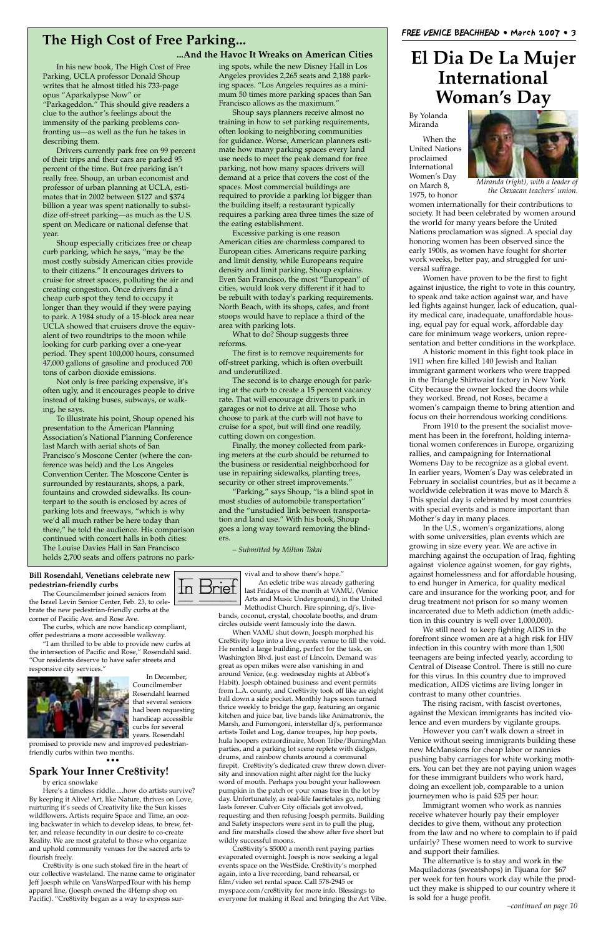In his new book, The High Cost of Free Parking, UCLA professor Donald Shoup writes that he almost titled his 733-page opus "Aparkalypse Now" or "Parkageddon." This should give readers a clue to the author's feelings about the immensity of the parking problems confronting us—as well as the fun he takes in describing them.

Drivers currently park free on 99 percent of their trips and their cars are parked 95 percent of the time. But free parking isn't really free. Shoup, an urban economist and professor of urban planning at UCLA, estimates that in 2002 between \$127 and \$374 billion a year was spent nationally to subsidize off-street parking—as much as the U.S. spent on Medicare or national defense that year.

Shoup especially criticizes free or cheap curb parking, which he says, "may be the most costly subsidy American cities provide to their citizens." It encourages drivers to cruise for street spaces, polluting the air and creating congestion. Once drivers find a cheap curb spot they tend to occupy it longer than they would if they were paying to park. A 1984 study of a 15-block area near UCLA showed that cruisers drove the equivalent of two roundtrips to the moon while looking for curb parking over a one-year period. They spent 100,000 hours, consumed 47,000 gallons of gasoline and produced 700 tons of carbon dioxide emissions.

Not only is free parking expensive, it's often ugly, and it encourages people to drive instead of taking buses, subways, or walking, he says.

To illustrate his point, Shoup opened his presentation to the American Planning Association's National Planning Conference last March with aerial shots of San Francisco's Moscone Center (where the conference was held) and the Los Angeles Convention Center. The Moscone Center is surrounded by restaurants, shops, a park, fountains and crowded sidewalks. Its counterpart to the south is enclosed by acres of parking lots and freeways, "which is why we'd all much rather be here today than there," he told the audience. His comparison continued with concert halls in both cities: The Louise Davies Hall in San Francisco holds 2,700 seats and offers patrons no parking spots, while the new Disney Hall in Los Angeles provides 2,265 seats and 2,188 parking spaces. "Los Angeles requires as a minimum 50 times more parking spaces than San

Francisco allows as the maximum."

Shoup says planners receive almost no training in how to set parking requirements, often looking to neighboring communities for guidance. Worse, American planners estimate how many parking spaces every land use needs to meet the peak demand for free parking, not how many spaces drivers will demand at a price that covers the cost of the spaces. Most commercial buildings are required to provide a parking lot bigger than the building itself; a restaurant typically requires a parking area three times the size of

the eating establishment.

Excessive parking is one reason American cities are charmless compared to European cities. Americans require parking and limit density, while Europeans require density and limit parking, Shoup explains. Even San Francisco, the most "European" of cities, would look very different if it had to be rebuilt with today's parking requirements. North Beach, with its shops, cafes, and front stoops would have to replace a third of the

area with parking lots.

What to do? Shoup suggests three

reforms.

The first is to remove requirements for off-street parking, which is often overbuilt

and underutilized.

The second is to charge enough for parking at the curb to create a 15 percent vacancy rate. That will encourage drivers to park in garages or not to drive at all. Those who choose to park at the curb will not have to cruise for a spot, but will find one readily,

cutting down on congestion.

Finally, the money collected from parking meters at the curb should be returned to



most studies of automobile transportation" and the "unstudied link between transportation and land use." With his book, Shoup goes a long way toward removing the blinders.

*– Submitted by Milton Takai*

#### **The High Cost of Free Parking...**

#### **...And the Havoc It Wreaks on American Cities**

**Bill Rosendahl, Venetians celebrate new pedestrian-friendly curbs**

The Councilmember joined seniors from the Israel Levin Senior Center, Feb. 23, to celebrate the new pedestrian-friendly curbs at the corner of Pacific Ave. and Rose Ave.

The curbs, which are now handicap compliant, offer pedestrians a more accessible walkway.

"I am thrilled to be able to provide new curbs at the intersection of Pacific and Rose," Rosendahl said. "Our residents deserve to have safer streets and responsive city services."



In December,

Councilmember

Rosendahl learned that several seniors had been requesting handicap accessible curbs for several years. Rosendahl

promised to provide new and improved pedestrianfriendly curbs within two months.

•••

#### **Spark Your Inner Cre8tivity!**

by erica snowlake

Here's a timeless riddle.....how do artists survive? By keeping it Alive! Art, like Nature, thrives on Love, nurturing it's seeds of Creativity like the Sun kisses wildflowers. Artists require Space and Time, an oozing backwater in which to develop ideas, to brew, fetter, and release fecundity in our desire to co-create Reality. We are most grateful to those who organize and uphold community venues for the sacred arts to flourish freely.

Cre8tivity is one such stoked fire in the heart of our collective wasteland. The name came to originator Jeff Joesph while on VansWarpedTour with his hemp apparel line, (Joesph owned the 4Hemp shop on Pacific). "Cre8tivity began as a way to express sur-

vival and to show there's hope." An ecletic tribe was already gathering last Fridays of the month at VAMU, (Venice Arts and Music Underground), in the United Methodist Church. Fire spinning, dj's, live-

bands, coconut, crystal, chocolate booths, and drum circles outside went famously into the dawn.

When VAMU shut down, Joesph morphed his Cre8tivity logo into a live events venue to fill the void. He rented a large building, perfect for the task, on Washington Blvd. just east of LIncoln. Demand was great as open mikes were also vanishing in and around Venice, (e.g. wednesday nights at Abbot's Habit). Joesph obtained business and event permits from L.A. county, and Cre8tivity took off like an eight ball down a side pocket. Monthly haps soon turned thrice weekly to bridge the gap, featuring an organic kitchen and juice bar, live bands like Animatronix, the Marsh, and Fumongoni, interstellar dj's, performance artists Toilet and Log, dance troupes, hip hop poets, hula hoopers extraordinaire, Moon Tribe/BurningMan parties, and a parking lot scene replete with didges, drums, and rainbow chants around a communal firepit. Cre8tivity's dedicated crew threw down diversity and innovation night after night for the lucky word of mouth. Perhaps you bought your halloween pumpkin in the patch or your xmas tree in the lot by day. Unfortunately, as real-life faerietales go, nothing lasts forever. Culver City officials got involved, requesting and then refusing Joesph permits. Building and Safety inspectors were sent in to pull the plug, and fire marshalls closed the show after five short but wildly successful moons. Cre8tivity's \$5000 a month rent paying parties evaporated overnight. Joesph is now seeking a legal events space on the WestSide. Cre8tivity's morphed again, into a live recording, band rehearsal, or film/video set rental space. Call 578-2945 or myspace.com/cre8tivity for more info. Blessings to everyone for making it Real and bringing the Art Vibe.



## **El Dia De La Mujer International Woman's Day**

By Yolanda Miranda

When the United Nations proclaimed International Women's Day on March 8, 1975, to honor

women internationally for their contributions to society. It had been celebrated by women around the world for many years before the United Nations proclamation was signed. A special day honoring women has been observed since the early 1900s, as women have fought for shorter work weeks, better pay, and struggled for universal suffrage.

Women have proven to be the first to fight against injustice, the right to vote in this country, to speak and take action against war, and have led fights against hunger, lack of education, quality medical care, inadequate, unaffordable housing, equal pay for equal work, affordable day care for minimum wage workers, union representation and better conditions in the workplace.

A historic moment in this fight took place in 1911 when fire killed 140 Jewish and Italian immigrant garment workers who were trapped in the Triangle Shirtwaist factory in New York City because the owner locked the doors while they worked. Bread, not Roses, became a women's campaign theme to bring attention and focus on their horrendous working conditions.

From 1910 to the present the socialist movement has been in the forefront, holding international women conferences in Europe, organizing rallies, and campaigning for International Womens Day to be recognize as a global event. In earlier years, Women's Day was celebrated in February in socialist countries, but as it became a worldwide celebration it was move to March 8. This special day is celebrated by most countries with special events and is more important than Mother's day in many places.

In the U.S., women's organizations, along with some universities, plan events which are growing in size every year. We are active in marching against the occupation of Iraq, fighting against violence against women, for gay rights, against homelessness and for affordable housing, to end hunger in America, for quality medical care and insurance for the working poor, and for drug treatment not prison for so many women incarcerated due to Meth addiction (meth addiction in this country is well over 1,000,000).

We still need to keep fighting AIDS in the forefront since women are at a high risk for HIV infection in this country with more than 1,500 teenagers are being infected yearly, according to Central of Disease Control. There is still no cure for this virus. In this country due to improved medication, AIDS victims are living longer in



contrast to many other countries.

The rising racism, with fascist overtones, against the Mexican immigrants has incited violence and even murders by vigilante groups.

However you can't walk down a street in Venice without seeing immigrants building these new McMansions for cheap labor or nannies pushing baby carriages for white working mothers. You can bet they are not paying union wages for these immigrant builders who work hard, doing an excellent job, comparable to a union journeymen who is paid \$25 per hour.

Immigrant women who work as nannies receive whatever hourly pay their employer decides to give them, without any protection from the law and no where to complain to if paid unfairly? These women need to work to survive and support their families.

The alternative is to stay and work in the Maquiladoras (sweatshops) in Tijuana for \$67 per week for ten hours work day while the product they make is shipped to our country where it is sold for a huge profit.



*Miranda (right), with a leader of the Oaxacan teachers' union.*

*–continued on page 10*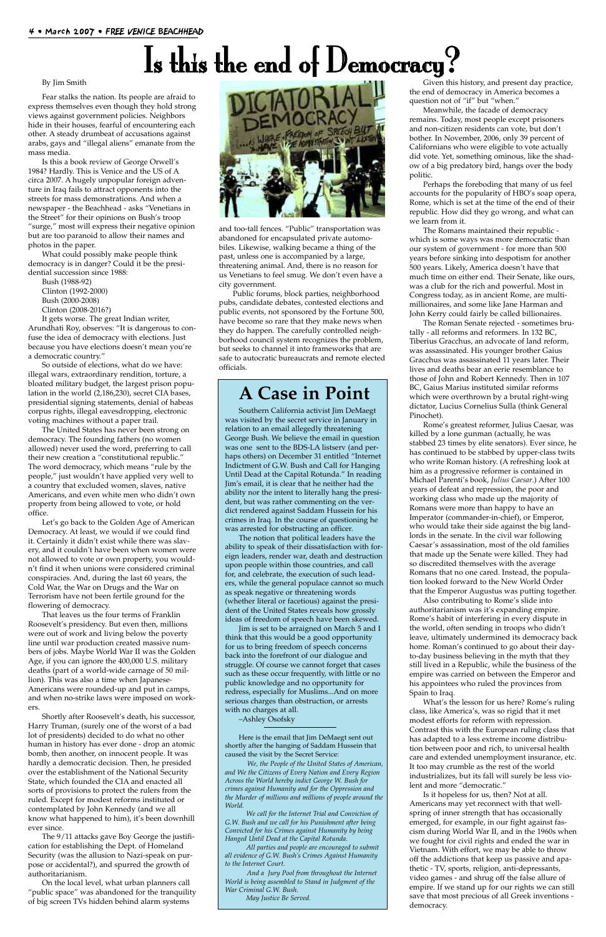# Is this the end of Democracy?

By Jim Smith

Fear stalks the nation. Its people are afraid to express themselves even though they hold strong views against government policies. Neighbors hide in their houses, fearful of encountering each other. A steady drumbeat of accusations against arabs, gays and "illegal aliens" emanate from the mass media.

Is this a book review of George Orwell's 1984? Hardly. This is Venice and the US of A circa 2007. A hugely unpopular foreign adventure in Iraq fails to attract opponents into the streets for mass demonstrations. And when a newspaper - the Beachhead - asks "Venetians in the Street" for their opinions on Bush's troop "surge," most will express their negative opinion but are too paranoid to allow their names and photos in the paper.

What could possibly make people think democracy is in danger? Could it be the presidential succession since 1988:

Bush (1988-92) Clinton (1992-2000) Bush (2000-2008)

Clinton (2008-2016?)

It gets worse. The great Indian writer, Arundhati Roy, observes: "It is dangerous to confuse the idea of democracy with elections. Just because you have elections doesn't mean you're a democratic country."

So outside of elections, what do we have: illegal wars, extraordinary rendition, torture, a bloated military budget, the largest prison population in the world (2,186,230), secret CIA bases, presidential signing statements, denial of habeas corpus rights, illegal eavesdropping, electronic voting machines without a paper trail.

The United States has never been strong on democracy. The founding fathers (no women allowed) never used the word, preferring to call their new creation a "constitutional republic." The word democracy, which means "rule by the people," just wouldn't have applied very well to a country that excluded women, slaves, native Americans, and even white men who didn't own property from being allowed to vote, or hold office.

Let's go back to the Golden Age of American Democracy. At least, we would if we could find it. Certainly it didn't exist while there was slavery, and it couldn't have been when women were not allowed to vote or own property, you wouldn't find it when unions were considered criminal conspiracies. And, during the last 60 years, the Cold War, the War on Drugs and the War on Terrorism have not been fertile ground for the flowering of democracy.

That leaves us the four terms of Franklin Roosevelt's presidency. But even then, millions were out of work and living below the poverty line until war production created massive numbers of jobs. Maybe World War II was the Golden Age, if you can ignore the 400,000 U.S. military deaths (part of a world-wide carnage of 50 million). This was also a time when Japanese-Americans were rounded-up and put in camps, and when no-strike laws were imposed on workers. Shortly after Roosevelt's death, his successor, Harry Truman, (surely one of the worst of a bad lot of presidents) decided to do what no other human in history has ever done - drop an atomic bomb, then another, on innocent people. It was hardly a democratic decision. Then, he presided over the establishment of the National Security State, which founded the CIA and enacted all sorts of provisions to protect the rulers from the ruled. Except for modest reforms instituted or contemplated by John Kennedy (and we all know what happened to him), it's been downhill ever since. The 9/11 attacks gave Boy George the justification for establishing the Dept. of Homeland Security (was the allusion to Nazi-speak on purpose or accidental?), and spurred the growth of authoritarianism. On the local level, what urban planners call "public space" was abandoned for the tranquility of big screen TVs hidden behind alarm systems



and too-tall fences. "Public" transportation was abandoned for encapsulated private automobiles. Likewise, walking became a thing of the past, unless one is accompanied by a large, threatening animal. And, there is no reason for us Venetians to feel smug. We don't even have a city government.

Public forums, block parties, neighborhood pubs, candidate debates, contested elections and public events, not sponsored by the Fortune 500, have become so rare that they make news when they do happen. The carefully controlled neighborhood council system recognizes the problem, but seeks to channel it into frameworks that are safe to autocratic bureaucrats and remote elected officials.

Given this history, and present day practice, the end of democracy in America becomes a question not of "if" but "when."

Meanwhile, the facade of democracy remains. Today, most people except prisoners and non-citizen residents can vote, but don't bother. In November, 2006, only 39 percent of Californians who were eligible to vote actually did vote. Yet, something ominous, like the shadow of a big predatory bird, hangs over the body politic.

Perhaps the foreboding that many of us feel accounts for the popularity of HBO's soap opera, Rome, which is set at the time of the end of their republic. How did they go wrong, and what can we learn from it.

The Romans maintained their republic which is some ways was more democratic than our system of government - for more than 500 years before sinking into despotism for another 500 years. Likely, America doesn't have that much time on either end. Their Senate, like ours, was a club for the rich and powerful. Most in Congress today, as in ancient Rome, are multimillionaires, and some like Jane Harman and John Kerry could fairly be called billionaires.

The Roman Senate rejected - sometimes brutally - all reforms and reformers. In 132 BC, Tiberius Gracchus, an advocate of land reform, was assassinated. His younger brother Gaius Gracchus was assassinated 11 years later. Their lives and deaths bear an eerie resemblance to those of John and Robert Kennedy. Then in 107 BC, Gaius Marius instituted similar reforms which were overthrown by a brutal right-wing dictator, Lucius Cornelius Sulla (think General Pinochet).

Rome's greatest reformer, Julius Caesar, was killed by a lone gunman (actually, he was stabbed 23 times by elite senators). Ever since, he has continued to be stabbed by upper-class twits who write Roman history. (A refreshing look at him as a progressive reformer is contained in Michael Parenti's book, *Julius Caesar*.) After 100 years of defeat and repression, the poor and working class who made up the majority of Romans were more than happy to have an Imperator (commander-in-chief), or Emperor, who would take their side against the big landlords in the senate. In the civil war following Caesar's assassination, most of the old families that made up the Senate were killed. They had so discredited themselves with the average Romans that no one cared. Instead, the population looked forward to the New World Order that the Emperor Augustus was putting together.

Also contributing to Rome's slide into authoritarianism was it's expanding empire. Rome's habit of interfering in every dispute in the world, often sending in troops who didn't leave, ultimately undermined its democracy back home. Roman's continued to go about their dayto-day business believing in the myth that they still lived in a Republic, while the business of the empire was carried on between the Emperor and his appointees who ruled the provinces from

Spain to Iraq.

What's the lesson for us here? Rome's ruling class, like America's, was so rigid that it met modest efforts for reform with repression. Contrast this with the European ruling class that has adapted to a less extreme income distribution between poor and rich, to universal health care and extended unemployment insurance, etc. It too may crumble as the rest of the world industrializes, but its fall will surely be less violent and more "democratic."

Is it hopeless for us, then? Not at all. Americans may yet reconnect with that wellspring of inner strength that has occasionally emerged, for example, in our fight against fascism during World War II, and in the 1960s when we fought for civil rights and ended the war in Vietnam. With effort, we may be able to throw off the addictions that keep us passive and apathetic - TV, sports, religion, anti-depressants, video games - and shrug off the false allure of empire. If we stand up for our rights we can still save that most precious of all Greek inventions democracy.

## **A Case in Point**

Southern California activist Jim DeMaegt was visited by the secret service in January in relation to an email allegedly threatening George Bush. We believe the email in question was one sent to the BDS-LA listserv (and perhaps others) on December 31 entitled "Internet Indictment of G.W. Bush and Call for Hanging Until Dead at the Capital Rotunda." In reading Jim's email, it is clear that he neither had the ability nor the intent to literally hang the president, but was rather commenting on the verdict rendered against Saddam Hussein for his crimes in Iraq. In the course of questioning he was arrested for obstructing an officer.

The notion that political leaders have the ability to speak of their dissatisfaction with foreign leaders, render war, death and destruction upon people within those countries, and call for, and celebrate, the execution of such leaders, while the general populace cannot so much as speak negative or threatening words (whether literal or facetious) against the president of the United States reveals how grossly ideas of freedom of speech have been skewed.

Jim is set to be arraigned on March 5 and I think that this would be a good opportunity for us to bring freedom of speech concerns back into the forefront of our dialogue and struggle. Of course we cannot forget that cases such as these occur frequently, with little or no public knowledge and no opportunity for

redress, especially for Muslims...And on more serious charges than obstruction, or arrests with no charges at all. –Ashley Osofsky

Here is the email that Jim DeMaegt sent out shortly after the hanging of Saddam Hussein that caused the visit by the Secret Service:

*We, the People of the United States of American, and We the Citizens of Every Nation and Every Region Across the World hereby indict George W. Bush for crimes against Humanity and for the Oppression and the Murder of millions and millions of people around the World.*

*We call for the Internet Trial and Conviction of G.W. Bush and we call for his Punishment after being Convicted for his Crimes against Humanity by being Hanged Until Dead at the Capital Rotunda.*

*All parties and people are encouraged to submit all evidence of G.W. Bush's Crimes Against Humanity to the Internet Court.*

*And a Jury Pool from throughout the Internet World is being assembled to Stand in Judgment of the War Criminal G.W. Bush.*

*May Justice Be Served.*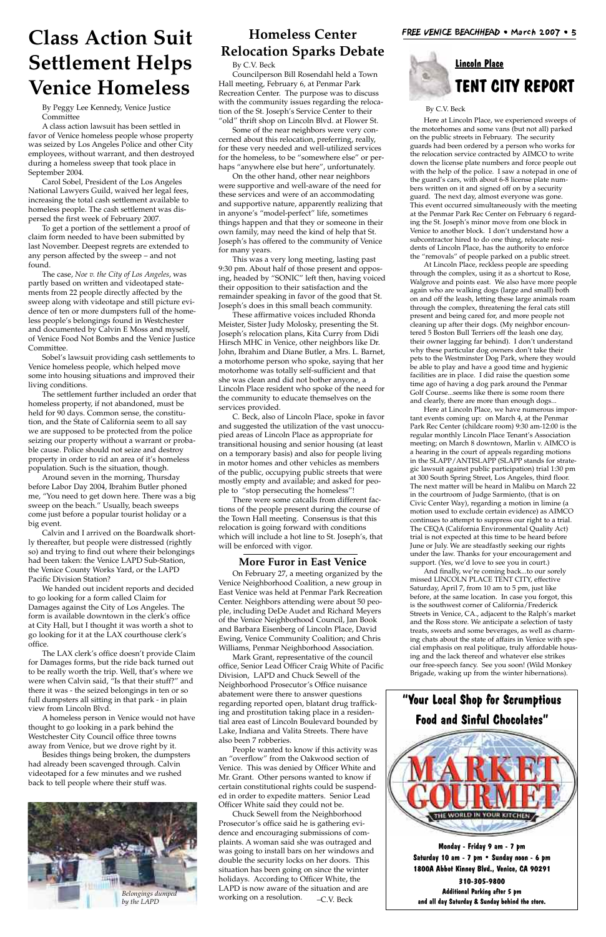### **Homeless Center Relocation Sparks Debate**

By C.V. Beck

Councilperson Bill Rosendahl held a Town Hall meeting, February 6, at Penmar Park Recreation Center. The purpose was to discuss with the community issues regarding the relocation of the St. Joseph's Service Center to their "old" thrift shop on Lincoln Blvd. at Flower St.

Some of the near neighbors were very concerned about this relocation, preferring, really, for these very needed and well-utilized services for the homeless, to be "somewhere else" or perhaps "anywhere else but here", unfortunately.

On the other hand, other near neighbors were supportive and well-aware of the need for these services and were of an accommodating and supportive nature, apparently realizing that in anyone's "model-perfect" life, sometimes things happen and that they or someone in their own family, may need the kind of help that St. Joseph's has offered to the community of Venice for many years.

This was a very long meeting, lasting past 9:30 pm. About half of those present and opposing, headed by "SONIC" left then, having voiced their opposition to their satisfaction and the remainder speaking in favor of the good that St. Joseph's does in this small beach community.

Mark Grant, representative of the council office, Senior Lead Officer Craig White of Pacific Division, LAPD and Chuck Sewell of the Neighborhood Prosecutor's Office nuisance abatement were there to answer questions regarding reported open, blatant drug trafficking and prostitution taking place in a residential area east of Lincoln Boulevard bounded by Lake, Indiana and Valita Streets. There have also been 7 robberies. People wanted to know if this activity was an "overflow" from the Oakwood section of Venice. This was denied by Officer White and Mr. Grant. Other persons wanted to know if certain constitutional rights could be suspended in order to expedite matters. Senior Lead Officer White said they could not be. Chuck Sewell from the Neighborhood Prosecutor's office said he is gathering evidence and encouraging submissions of complaints. A woman said she was outraged and was going to install bars on her windows and double the security locks on her doors. This situation has been going on since the winter holidays. According to Officer White, the LAPD is now aware of the situation and are working on a resolution.  $-C.V.$  Beck

These affirmative voices included Rhonda Meister, Sister Judy Molosky, presenting the St. Joseph's relocation plans, Kita Curry from Didi Hirsch MHC in Venice, other neighbors like Dr. John, Ibrahim and Diane Butler, a Mrs. L. Barnet, a motorhome person who spoke, saying that her motorhome was totally self-sufficient and that she was clean and did not bother anyone, a Lincoln Place resident who spoke of the need for the community to educate themselves on the services provided.

C. Beck, also of Lincoln Place, spoke in favor and suggested the utilization of the vast unoccupied areas of Lincoln Place as appropriate for transitional housing and senior housing (at least on a temporary basis) and also for people living in motor homes and other vehicles as members of the public, occupying public streets that were mostly empty and available; and asked for people to "stop persecuting the homeless"!

There were some catcalls from different factions of the people present during the course of the Town Hall meeting. Consensus is that this relocation is going forward with conditions which will include a hot line to St. Joseph's, that will be enforced with vigor.

#### **More Furor in East Venice**

On February 27, a meeting organized by the Venice Neighborhood Coalition, a new group in East Venice was held at Penmar Park Recreation Center. Neighbors attending were about 50 people, including DeDe Audet and Richard Meyers of the Venice Neighborhood Council, Jan Book and Barbara Eisenberg of Lincoln Place, David Ewing, Venice Community Coalition; and Chris Williams, Penmar Neighborhood Association.

# **Lincoln Place TENT CITY REPORT**

**Monday - Friday 9 am - 7 pm Saturday 10 am - 7 pm • Sunday noon - 6 pm 1800A Abbot Kinney Blvd., Venice, CA 90291** 

**310-305-9800 Additional Parking after 5 pm and all day Saturday & Sunday behind the store.** 

# **"Your Local Shop for Scrumptious Food and Sinful Chocolates"**

#### By C.V. Beck

Here at Lincoln Place, we experienced sweeps of the motorhomes and some vans (but not all) parked on the public streets in February. The security guards had been ordered by a person who works for the relocation service contracted by AIMCO to write down the license plate numbers and force people out with the help of the police. I saw a notepad in one of the guard's cars, with about 6-8 license plate numbers written on it and signed off on by a security guard. The next day, almost everyone was gone. This event occurred simultaneously with the meeting at the Penmar Park Rec Center on February 6 regarding the St. Joseph's minor move from one block in Venice to another block. I don't understand how a subcontractor hired to do one thing, relocate residents of Lincoln Place, has the authority to enforce the "removals" of people parked on a public street.

At Lincoln Place, reckless people are speeding through the complex, using it as a shortcut to Rose, Walgrove and points east. We also have more people again who are walking dogs (large and small) both on and off the leash, letting these large animals roam through the complex, threatening the feral cats still present and being cared for, and more people not cleaning up after their dogs. (My neighbor encountered 5 Boston Bull Terriers off the leash one day, their owner lagging far behind). I don't understand why these particular dog owners don't take their pets to the Westminster Dog Park, where they would be able to play and have a good time and hygienic facilities are in place. I did raise the question some time ago of having a dog park around the Penmar Golf Course...seems like there is some room there and clearly, there are more than enough dogs...

Here at Lincoln Place, we have numerous important events coming up: on March 4, at the Penmar Park Rec Center (childcare room) 9:30 am-12:00 is the regular monthly Lincoln Place Tenant's Association meeting; on March 8 downtown, Marlin v. AIMCO is a hearing in the court of appeals regarding motions in the SLAPP/ANTISLAPP (SLAPP stands for strategic lawsuit against public participation) trial 1:30 pm at 300 South Spring Street, Los Angeles, third floor. The next matter will be heard in Malibu on March 22 in the courtroom of Judge Sarmiento, (that is on Civic Center Way), regarding a motion in limine (a motion used to exclude certain evidence) as AIMCO continues to attempt to suppress our right to a trial. The CEQA (California Environmental Quality Act) trial is not expected at this time to be heard before June or July. We are steadfastly seeking our rights under the law. Thanks for your encouragement and support. (Yes, we'd love to see you in court.)

And finally, we're coming back...to our sorely missed LINCOLN PLACE TENT CITY, effective Saturday, April 7, from 10 am to 5 pm, just like before, at the same location. In case you forgot, this is the southwest corner of California/Frederick Streets in Venice, CA., adjacent to the Ralph's market and the Ross store. We anticipate a selection of tasty treats, sweets and some beverages, as well as charming chats about the state of affairs in Venice with special emphasis on real politique, truly affordable housing and the lack thereof and whatever else strikes our free-speech fancy. See you soon! (Wild Monkey Brigade, waking up from the winter hibernations).

# **Class Action Suit Settlement Helps Venice Homeless**

By Peggy Lee Kennedy, Venice Justice Committee

A class action lawsuit has been settled in favor of Venice homeless people whose property was seized by Los Angeles Police and other City employees, without warrant, and then destroyed during a homeless sweep that took place in September 2004.

Carol Sobel, President of the Los Angeles National Lawyers Guild, waived her legal fees, increasing the total cash settlement available to homeless people. The cash settlement was dispersed the first week of February 2007.

To get a portion of the settlement a proof of claim form needed to have been submitted by last November. Deepest regrets are extended to any person affected by the sweep – and not found.

The case, *Noe v. the City of Los Angeles*, was partly based on written and videotaped statements from 22 people directly affected by the sweep along with videotape and still picture evidence of ten or more dumpsters full of the homeless people's belongings found in Westchester and documented by Calvin E Moss and myself, of Venice Food Not Bombs and the Venice Justice Committee.

Sobel's lawsuit providing cash settlements to Venice homeless people, which helped move some into housing situations and improved their living conditions.

The settlement further included an order that homeless property, if not abandoned, must be held for 90 days. Common sense, the constitution, and the State of California seem to all say we are supposed to be protected from the police seizing our property without a warrant or probable cause. Police should not seize and destroy property in order to rid an area of it's homeless population. Such is the situation, though.

Around seven in the morning, Thursday before Labor Day 2004, Ibrahim Butler phoned me, "You need to get down here. There was a big sweep on the beach." Usually, beach sweeps come just before a popular tourist holiday or a big event.

Calvin and I arrived on the Boardwalk shortly thereafter, but people were distressed (rightly so) and trying to find out where their belongings had been taken: the Venice LAPD Sub-Station, the Venice County Works Yard, or the LAPD Pacific Division Station?

We handed out incident reports and decided to go looking for a form called Claim for Damages against the City of Los Angeles. The form is available downtown in the clerk's office at City Hall, but I thought it was worth a shot to go looking for it at the LAX courthouse clerk's office.

The LAX clerk's office doesn't provide Claim for Damages forms, but the ride back turned out to be really worth the trip. Well, that's where we were when Calvin said, "Is that their stuff?" and there it was - the seized belongings in ten or so full dumpsters all sitting in that park - in plain view from Lincoln Blvd. A homeless person in Venice would not have thought to go looking in a park behind the Westchester City Council office three towns away from Venice, but we drove right by it. Besides things being broken, the dumpsters had already been scavenged through. Calvin videotaped for a few minutes and we rushed back to tell people where their stuff was.

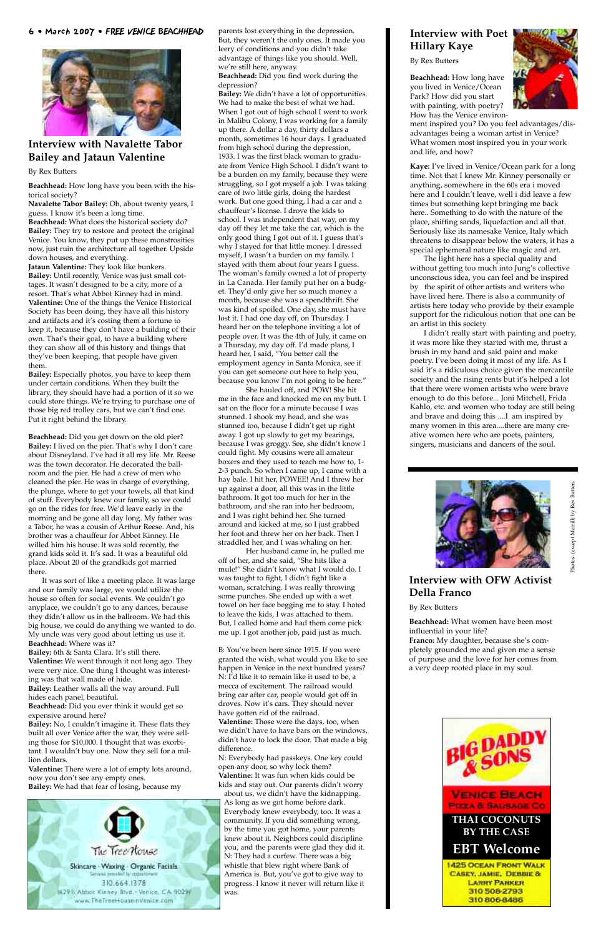6 • March 2007 • FREE VENICE BEACHHEAD



#### **Interview with Navalette Tabor Bailey and Jataun Valentine**

#### By Rex Butters

**Beachhead:** How long have you been with the historical society?

**Navalette Tabor Bailey:** Oh, about twenty years, I guess. I know it's been a long time.

**Beachhead:** What does the historical society do? **Bailey:** They try to restore and protect the original Venice. You know, they put up these monstrosities now, just ruin the architecture all together. Upside down houses, and everything.

**Jataun Valentine:** They look like bunkers. **Bailey:** Until recently, Venice was just small cottages. It wasn't designed to be a city, more of a resort. That's what Abbot Kinney had in mind. **Valentine:** One of the things the Venice Historical Society has been doing, they have all this history and artifacts and it's costing them a fortune to keep it, because they don't have a building of their own. That's their goal, to have a building where they can show all of this history and things that they've been keeping, that people have given them.

**Bailey:** Especially photos, you have to keep them under certain conditions. When they built the library, they should have had a portion of it so we could store things. We're trying to purchase one of those big red trolley cars, but we can't find one. Put it right behind the library.

**Beachhead:** Did you get down on the old pier? **Bailey:** I lived on the pier. That's why I don't care about Disneyland. I've had it all my life. Mr. Reese was the town decorator. He decorated the ballroom and the pier. He had a crew of men who cleaned the pier. He was in charge of everything, the plunge, where to get your towels, all that kind of stuff. Everybody knew our family, so we could go on the rides for free. We'd leave early in the morning and be gone all day long. My father was a Tabor, he was a cousin of Arthur Reese. And, his brother was a chauffeur for Abbot Kinney. He willed him his house. It was sold recently, the grand kids sold it. It's sad. It was a beautiful old place. About 20 of the grandkids got married there.

It was sort of like a meeting place. It was large and our family was large, we would utilize the house so often for social events. We couldn't go anyplace, we couldn't go to any dances, because they didn't allow us in the ballroom. We had this big house, we could do anything we wanted to do. My uncle was very good about letting us use it. **Beachhead:** Where was it?

**Bailey:** 6th & Santa Clara. It's still there. **Valentine:** We went through it not long ago. They were very nice. One thing I thought was interesting was that wall made of hide.

**Bailey:** Leather walls all the way around. Full hides each panel, beautiful.

**Beachhead:** Did you ever think it would get so expensive around here?

**Bailey:** No, I couldn't imagine it. These flats they built all over Venice after the war, they were selling those for \$10,000. I thought that was exorbitant. I wouldn't buy one. Now they sell for a million dollars.

**Valentine:** There were a lot of empty lots around, now you don't see any empty ones. **Bailey:** We had that fear of losing, because my



parents lost everything in the depression. But, they weren't the only ones. It made you leery of conditions and you didn't take advantage of things like you should. Well, we're still here, anyway.

**Beachhead:** Did you find work during the depression?

**Bailey:** We didn't have a lot of opportunities. We had to make the best of what we had. When I got out of high school I went to work in Malibu Colony, I was working for a family up there. A dollar a day, thirty dollars a month, sometimes 16 hour days. I graduated from high school during the depression, 1933. I was the first black woman to graduate from Venice High School. I didn't want to be a burden on my family, because they were struggling, so I got myself a job. I was taking care of two little girls, doing the hardest work. But one good thing, I had a car and a chauffeur's license. I drove the kids to school. I was independent that way, on my day off they let me take the car, which is the only good thing I got out of it. I guess that's why I stayed for that little money. I dressed myself, I wasn't a burden on my family. I stayed with them about four years I guess. The woman's family owned a lot of property in La Canada. Her family put her on a budget. They'd only give her so much money a month, because she was a spendthrift. She was kind of spoiled. One day, she must have lost it. I had one day off, on Thursday. I heard her on the telephone inviting a lot of people over. It was the 4th of July, it came on a Thursday, my day off. I'd made plans, I heard her, I said, "You better call the employment agency in Santa Monica, see if you can get someone out here to help you, because you know I'm not going to be here."

She hauled off, and POW! She hit me in the face and knocked me on my butt. I sat on the floor for a minute because I was stunned. I shook my head, and she was stunned too, because I didn't get up right away. I got up slowly to get my bearings, because I was groggy. See, she didn't know I could fight. My cousins were all amateur boxers and they used to teach me how to, 1- 2-3 punch. So when I came up, I came with a hay bale. I hit her, POWEE! And I threw her up against a door, all this was in the little bathroom. It got too much for her in the bathroom, and she ran into her bedroom, and I was right behind her. She turned around and kicked at me, so I just grabbed her foot and threw her on her back. Then I straddled her, and I was whaling on her.

Her husband came in, he pulled me off of her, and she said, "She hits like a mule!" She didn't know what I would do. I was taught to fight, I didn't fight like a woman, scratching. I was really throwing some punches. She ended up with a wet towel on her face begging me to stay. I hated to leave the kids, I was attached to them. But, I called home and had them come pick me up. I got another job, paid just as much.

B: You've been here since 1915. If you were granted the wish, what would you like to see happen in Venice in the next hundred years? N: I'd like it to remain like it used to be, a mecca of excitement. The railroad would bring car after car, people would get off in droves. Now it's cars. They should never have gotten rid of the railroad. **Valentine:** Those were the days, too, when we didn't have to have bars on the windows, didn't have to lock the door. That made a big

difference.

N: Everybody had passkeys. One key could open any door, so why lock them? **Valentine:** It was fun when kids could be kids and stay out. Our parents didn't worry about us, we didn't have the kidnapping. As long as we got home before dark. Everybody knew everybody, too. It was a community. If you did something wrong, by the time you got home, your parents knew about it. Neighbors could discipline you, and the parents were glad they did it. N: They had a curfew. There was a big whistle that blew right where Bank of America is. But, you've got to give way to progress. I know it never will return like it was.

#### **Interview with Poet Hillary Kaye**

By Rex Butters

**Beachhead:** How long have you lived in Venice/Ocean Park? How did you start with painting, with poetry? How has the Venice environ-



ment inspired you? Do you feel advantages/disadvantages being a woman artist in Venice? What women most inspired you in your work and life, and how?

**Kaye:** I've lived in Venice/Ocean park for a long time. Not that I knew Mr. Kinney personally or anything, somewhere in the 60s era i moved here and I couldn't leave, well i did leave a few times but something kept bringing me back here.. Something to do with the nature of the place, shifting sands, liquefaction and all that. Seriously like its namesake Venice, Italy which threatens to disappear below the waters, it has a special ephemeral nature like magic and art.

The light here has a special quality and without getting too much into Jung's collective unconscious idea, you can feel and be inspired by the spirit of other artists and writers who have lived here. There is also a community of artists here today who provide by their example support for the ridiculous notion that one can be an artist in this society

I didn't really start with painting and poetry, it was more like they started with me, thrust a brush in my hand and said paint and make poetry. I've been doing it most of my life. As I said it's a ridiculous choice given the mercantile society and the rising rents but it's helped a lot that there were women artists who were brave enough to do this before... Joni Mitchell, Frida Kahlo, etc. and women who today are still being and brave and doing this ....I am inspired by many women in this area....there are many creative women here who are poets, painters, singers, musicians and dancers of the soul.



#### **Interview with OFW Activist Della Franco**

#### By Rex Butters

**Beachhead:** What women have been most influential in your life?

**Franco:** My daughter, because she's completely grounded me and given me a sense of purpose and the love for her comes from a very deep rooted place in my soul.

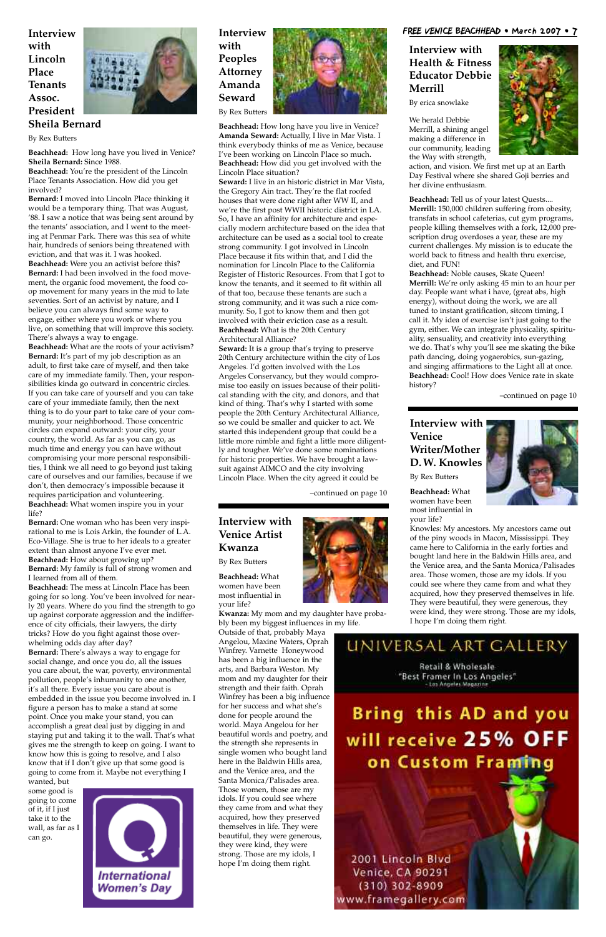**Interview with Venice Writer/Mother D. W. Knowles**

By Rex Butters

**Beachhead:** What women have been most influential in your life?

Knowles: My ancestors. My ancestors came out of the piny woods in Macon, Mississippi. They came here to California in the early forties and bought land here in the Baldwin Hills area, and the Venice area, and the Santa Monica/Palisades area. Those women, those are my idols. If you could see where they came from and what they acquired, how they preserved themselves in life. They were beautiful, they were generous, they were kind, they were strong. Those are my idols, I hope I'm doing them right.



Retail & Wholesale "Best Framer In Los Angeles" - Los Angeles Magazine



#### **Interview with Venice Artist Kwanza**

By Rex Butters

**Beachhead:** What women have been most influential in your life?

**Kwanza:** My mom and my daughter have probably been my biggest influences in my life.

Outside of that, probably Maya Angelou, Maxine Waters, Oprah Winfrey. Varnette Honeywood has been a big influence in the arts, and Barbara Weston. My mom and my daughter for their strength and their faith. Oprah Winfrey has been a big influence for her success and what she's done for people around the world. Maya Angelou for her beautiful words and poetry, and the strength she represents in single women who bought land here in the Baldwin Hills area, and the Venice area, and the Santa Monica/Palisades area. Those women, those are my idols. If you could see where they came from and what they acquired, how they preserved themselves in life. They were beautiful, they were generous, they were kind, they were strong. Those are my idols, I hope I'm doing them right.

#### **Interview with Health & Fitness Educator Debbie Merrill**

By erica snowlake

We herald Debbie Merrill, a shining angel making a difference in our community, leading the Way with strength,

action, and vision. We first met up at an Earth Day Festival where she shared Goji berries and her divine enthusiasm.

**Beachhead:** Tell us of your latest Quests.... **Merrill:** 150,000 children suffering from obesity, transfats in school cafeterias, cut gym programs, people killing themselves with a fork, 12,000 prescription drug overdoses a year, these are my current challenges. My mission is to educate the world back to fitness and health thru exercise, diet, and FUN!

**Beachhead:** Noble causes, Skate Queen! **Merrill:** We're only asking 45 min to an hour per day. People want what i have, (great abs, high energy), without doing the work, we are all tuned to instant gratification, sitcom timing, I call it. My idea of exercise isn't just going to the gym, either. We can integrate physicality, spirituality, sensuality, and creativity into everything we do. That's why you'll see me skating the bike path dancing, doing yogaerobics, sun-gazing, and singing affirmations to the Light all at once. **Beachhead:** Cool! How does Venice rate in skate history?

**Interview with Peoples Attorney Amanda Seward** By Rex Butters



**Beachhead:** How long have you live in Venice? **Amanda Seward:** Actually, I live in Mar Vista. I think everybody thinks of me as Venice, because I've been working on Lincoln Place so much. **Beachhead:** How did you get involved with the Lincoln Place situation?

**Seward:** I live in an historic district in Mar Vista, the Gregory Ain tract. They're the flat roofed houses that were done right after WW II, and we're the first post WWII historic district in LA. So, I have an affinity for architecture and especially modern architecture based on the idea that architecture can be used as a social tool to create strong community. I got involved in Lincoln Place because it fits within that, and I did the nomination for Lincoln Place to the California Register of Historic Resources. From that I got to know the tenants, and it seemed to fit within all of that too, because these tenants are such a strong community, and it was such a nice community. So, I got to know them and then got involved with their eviction case as a result. **Beachhead:** What is the 20th Century Architectural Alliance?

**Seward:** It is a group that's trying to preserve 20th Century architecture within the city of Los Angeles. I'd gotten involved with the Los Angeles Conservancy, but they would compromise too easily on issues because of their political standing with the city, and donors, and that kind of thing. That's why I started with some people the 20th Century Architectural Alliance, so we could be smaller and quicker to act. We started this independent group that could be a little more nimble and fight a little more diligently and tougher. We've done some nominations for historic properties. We have brought a lawsuit against AIMCO and the city involving Lincoln Place. When the city agreed it could be

**Interview with Lincoln Place Tenants Assoc. President Sheila Bernard**



By Rex Butters

**Beachhead:** How long have you lived in Venice? **Sheila Bernard:** Since 1988.

**Beachhead:** You're the president of the Lincoln Place Tenants Association. How did you get involved?

**Bernard:** I moved into Lincoln Place thinking it would be a temporary thing. That was August, '88. I saw a notice that was being sent around by the tenants' association, and I went to the meeting at Penmar Park. There was this sea of white hair, hundreds of seniors being threatened with eviction, and that was it. I was hooked. **Beachhead:** Were you an activist before this? **Bernard:** I had been involved in the food movement, the organic food movement, the food coop movement for many years in the mid to late seventies. Sort of an activist by nature, and I believe you can always find some way to engage, either where you work or where you live, on something that will improve this society.

There's always a way to engage. **Beachhead:** What are the roots of your activism? **Bernard:** It's part of my job description as an adult, to first take care of myself, and then take care of my immediate family. Then, your responsibilities kinda go outward in concentric circles. If you can take care of yourself and you can take care of your immediate family, then the next thing is to do your part to take care of your community, your neighborhood. Those concentric circles can expand outward: your city, your country, the world. As far as you can go, as much time and energy you can have without compromising your more personal responsibilities, I think we all need to go beyond just taking care of ourselves and our families, because if we don't, then democracy's impossible because it requires participation and volunteering. **Beachhead:** What women inspire you in your life?

**Bernard:** One woman who has been very inspirational to me is Lois Arkin, the founder of L.A. Eco-Village. She is true to her ideals to a greater extent than almost anyone I've ever met. **Beachhead:** How about growing up? **Bernard:** My family is full of strong women and I Iearned from all of them.

**Beachhead:** The mess at Lincoln Place has been going for so long. You've been involved for nearly 20 years. Where do you find the strength to go up against corporate aggression and the indifference of city officials, their lawyers, the dirty tricks? How do you fight against those overwhelming odds day after day?

**Bernard:** There's always a way to engage for social change, and once you do, all the issues you care about, the war, poverty, environmental pollution, people's inhumanity to one another, it's all there. Every issue you care about is embedded in the issue you become involved in. I figure a person has to make a stand at some point. Once you make your stand, you can accomplish a great deal just by digging in and staying put and taking it to the wall. That's what gives me the strength to keep on going. I want to know how this is going to resolve, and I also know that if I don't give up that some good is going to come from it. Maybe not everything I wanted, but

some good is going to come of it, if I just take it to the wall, as far as I can go.



# **Bring this AD and you** will receive 25% OFF on Custom Framing

2001 Lincoln Blvd **Venice, CA 90291**  $(310)$  302-8909 www.framegallery.com

#### FREE VENICE BEACHHEAD • March 2007 • 7

–continued on page 10

–continued on page 10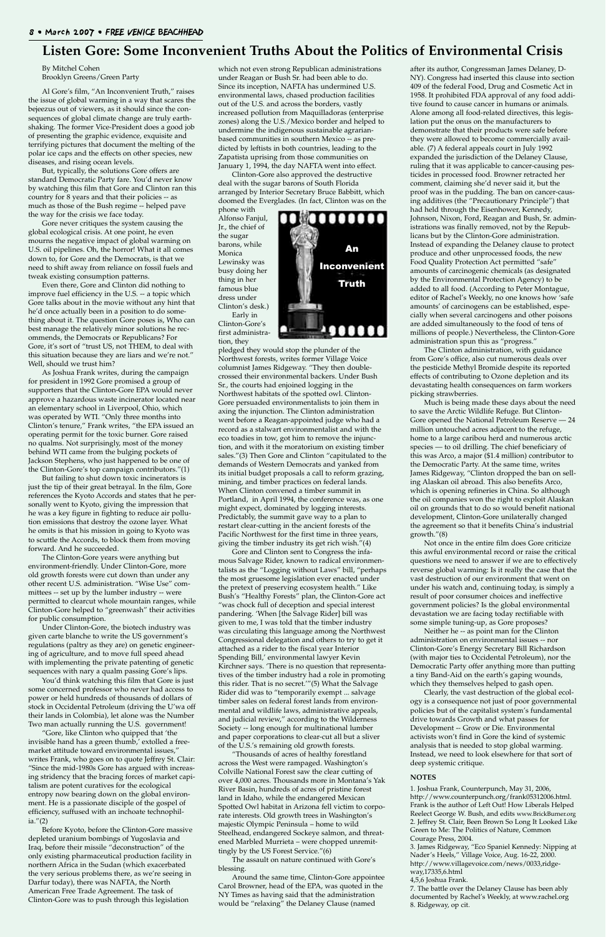By Mitchel Cohen Brooklyn Greens/Green Party

Al Gore's film, "An Inconvenient Truth," raises the issue of global warming in a way that scares the bejeezus out of viewers, as it should since the consequences of global climate change are truly earthshaking. The former Vice-President does a good job of presenting the graphic evidence, exquisite and terrifying pictures that document the melting of the polar ice caps and the effects on other species, new diseases, and rising ocean levels.

But, typically, the solutions Gore offers are standard Democratic Party fare. You'd never know by watching this film that Gore and Clinton ran this country for 8 years and that their policies -- as much as those of the Bush regime -- helped pave the way for the crisis we face today.

Gore never critiques the system causing the global ecological crisis. At one point, he even mourns the negative impact of global warming on U.S. oil pipelines. Oh, the horror! What it all comes down to, for Gore and the Democrats, is that we need to shift away from reliance on fossil fuels and tweak existing consumption patterns.

Even there, Gore and Clinton did nothing to improve fuel efficiency in the U.S. -- a topic which Gore talks about in the movie without any hint that he'd once actually been in a position to do something about it. The question Gore poses is, Who can best manage the relatively minor solutions he recommends, the Democrats or Republicans? For Gore, it's sort of "trust US, not THEM, to deal with this situation because they are liars and we're not." Well, should we trust him?

As Joshua Frank writes, during the campaign for president in 1992 Gore promised a group of supporters that the Clinton-Gore EPA would never approve a hazardous waste incinerator located near an elementary school in Liverpool, Ohio, which was operated by WTI. "Only three months into Clinton's tenure," Frank writes, "the EPA issued an operating permit for the toxic burner. Gore raised no qualms. Not surprisingly, most of the money behind WTI came from the bulging pockets of Jackson Stephens, who just happened to be one of the Clinton-Gore's top campaign contributors."(1)

But failing to shut down toxic incinerators is just the tip of their great betrayal. In the film, Gore references the Kyoto Accords and states that he personally went to Kyoto, giving the impression that he was a key figure in fighting to reduce air pollution emissions that destroy the ozone layer. What he omits is that his mission in going to Kyoto was to scuttle the Accords, to block them from moving forward. And he succeeded.

The Clinton-Gore years were anything but environment-friendly. Under Clinton-Gore, more old growth forests were cut down than under any other recent U.S. administration. "Wise Use" committees -- set up by the lumber industry -- were permitted to clearcut whole mountain ranges, while Clinton-Gore helped to "greenwash" their activities for public consumption.

Under Clinton-Gore, the biotech industry was given carte blanche to write the US government's regulations (paltry as they are) on genetic engineering of agriculture, and to move full speed ahead with implementing the private patenting of genetic sequences with nary a qualm passing Gore's lips.

You'd think watching this film that Gore is just

some concerned professor who never had access to power or held hundreds of thousands of dollars of stock in Occidental Petroleum (driving the U'wa off their lands in Colombia), let alone was the Number Two man actually running the U.S. government!

"Gore, like Clinton who quipped that 'the invisible hand has a green thumb,' extolled a freemarket attitude toward environmental issues," writes Frank, who goes on to quote Jeffrey St. Clair: "Since the mid-1980s Gore has argued with increasing stridency that the bracing forces of market capitalism are potent curatives for the ecological entropy now bearing down on the global environment. He is a passionate disciple of the gospel of efficiency, suffused with an inchoate technophilia."(2)

Before Kyoto, before the Clinton-Gore massive depleted uranium bombings of Yugoslavia and Iraq, before their missile "deconstruction" of the only existing pharmaceutical production facility in northern Africa in the Sudan (which exacerbated the very serious problems there, as we're seeing in Darfur today), there was NAFTA, the North American Free Trade Agreement. The task of Clinton-Gore was to push through this legislation

which not even strong Republican administrations under Reagan or Bush Sr. had been able to do. Since its inception, NAFTA has undermined U.S. environmental laws, chased production facilities out of the U.S. and across the borders, vastly increased pollution from Maquilladoras (enterprise zones) along the U.S./Mexico border and helped to undermine the indigenous sustainable agrarianbased communities in southern Mexico -- as predicted by leftists in both countries, leading to the Zapatista uprising from those communities on January 1, 1994, the day NAFTA went into effect.

Clinton-Gore also approved the destructive deal with the sugar barons of South Florida arranged by Interior Secretary Bruce Babbitt, which doomed the Everglades. (In fact, Clinton was on the

phone with Alfonso Fanjul, Jr., the chief of the sugar barons, while Monica Lewinsky was busy doing her thing in her famous blue dress under Clinton's desk.) Early in

Clinton-Gore's first administration, they

pledged they would stop the plunder of the Northwest forests, writes former Village Voice columnist James Ridgeway. "They then doublecrossed their environmental backers. Under Bush Sr., the courts had enjoined logging in the Northwest habitats of the spotted owl. Clinton-Gore persuaded environmentalists to join them in axing the injunction. The Clinton administration went before a Reagan-appointed judge who had a record as a stalwart environmentalist and with the eco toadies in tow, got him to remove the injunction, and with it the moratorium on existing timber sales."(3) Then Gore and Clinton "capitulated to the demands of Western Democrats and yanked from its initial budget proposals a call to reform grazing, mining, and timber practices on federal lands. When Clinton convened a timber summit in Portland, in April 1994, the conference was, as one might expect, dominated by logging interests. Predictably, the summit gave way to a plan to restart clear-cutting in the ancient forests of the Pacific Northwest for the first time in three years, giving the timber industry its get rich wish."(4)

Gore and Clinton sent to Congress the infamous Salvage Rider, known to radical environmentalists as the "Logging without Laws" bill, "perhaps the most gruesome legislation ever enacted under the pretext of preserving ecosystem health." Like Bush's "Healthy Forests" plan, the Clinton-Gore act "was chock full of deception and special interest pandering. 'When [the Salvage Rider] bill was given to me, I was told that the timber industry was circulating this language among the Northwest Congressional delegation and others to try to get it attached as a rider to the fiscal year Interior Spending Bill,' environmental lawyer Kevin Kirchner says. 'There is no question that representatives of the timber industry had a role in promoting this rider. That is no secret.'"(5) What the Salvage Rider did was to "temporarily exempt ... salvage timber sales on federal forest lands from environmental and wildlife laws, administrative appeals, and judicial review," according to the Wilderness Society -- long enough for multinational lumber and paper corporations to clear-cut all but a sliver of the U.S.'s remaining old growth forests. "Thousands of acres of healthy forestland across the West were rampaged. Washington's Colville National Forest saw the clear cutting of over 4,000 acres. Thousands more in Montana's Yak River Basin, hundreds of acres of pristine forest land in Idaho, while the endangered Mexican Spotted Owl habitat in Arizona fell victim to corporate interests. Old growth trees in Washington's majestic Olympic Peninsula – home to wild Steelhead, endangered Sockeye salmon, and threatened Marbled Murrieta – were chopped unremittingly by the US Forest Service."(6) The assault on nature continued with Gore's blessing.

Around the same time, Clinton-Gore appointee Carol Browner, head of the EPA, was quoted in the NY Times as having said that the administration would be "relaxing" the Delaney Clause (named

after its author, Congressman James Delaney, D-NY). Congress had inserted this clause into section 409 of the federal Food, Drug and Cosmetic Act in 1958. It prohibited FDA approval of any food additive found to cause cancer in humans or animals. Alone among all food-related directives, this legislation put the onus on the manufacturers to demonstrate that their products were safe before they were allowed to become commercially available. (7) A federal appeals court in July 1992 expanded the jurisdiction of the Delaney Clause, ruling that it was applicable to cancer-causing pesticides in processed food. Browner retracted her comment, claiming she'd never said it, but the proof was in the pudding. The ban on cancer-causing additives (the "Precautionary Principle") that had held through the Eisenhower, Kennedy, Johnson, Nixon, Ford, Reagan and Bush, Sr. administrations was finally removed, not by the Republicans but by the Clinton-Gore administration. Instead of expanding the Delaney clause to protect produce and other unprocessed foods, the new Food Quality Protection Act permitted "safe" amounts of carcinogenic chemicals (as designated by the Environmental Protection Agency) to be added to all food. (According to Peter Montague, editor of Rachel's Weekly, no one knows how 'safe amounts' of carcinogens can be established, especially when several carcinogens and other poisons are added simultaneously to the food of tens of millions of people.) Nevertheless, the Clinton-Gore administration spun this as "progress."

The Clinton administration, with guidance from Gore's office, also cut numerous deals over the pesticide Methyl Bromide despite its reported effects of contributing to Ozone depletion and its devastating health consequences on farm workers picking strawberries.

Much is being made these days about the need to save the Arctic Wildlife Refuge. But Clinton-Gore opened the National Petroleum Reserve — 24 million untouched acres adjacent to the refuge, home to a large caribou herd and numerous arctic species — to oil drilling. The chief beneficiary of this was Arco, a major (\$1.4 million) contributor to the Democratic Party. At the same time, writes James Ridgeway, "Clinton dropped the ban on selling Alaskan oil abroad. This also benefits Arco, which is opening refineries in China. So although the oil companies won the right to exploit Alaskan oil on grounds that to do so would benefit national development, Clinton-Gore unilaterally changed the agreement so that it benefits China's industrial growth."(8)

Not once in the entire film does Gore criticize this awful environmental record or raise the critical questions we need to answer if we are to effectively reverse global warming: Is it really the case that the vast destruction of our environment that went on under his watch and, continuing today, is simply a result of poor consumer choices and ineffective government policies? Is the global environmental devastation we are facing today rectifiable with some simple tuning-up, as Gore proposes?

Neither he -- as point man for the Clinton administration on environmental issues -- nor Clinton-Gore's Energy Secretary Bill Richardson (with major ties to Occidental Petroleum), nor the Democratic Party offer anything more than putting a tiny Band-Aid on the earth's gaping wounds, which they themselves helped to gash open. Clearly, the vast destruction of the global ecology is a consequence not just of poor governmental policies but of the capitalist system's fundamental drive towards Growth and what passes for Development -- Grow or Die. Environmental activists won't find in Gore the kind of systemic analysis that is needed to stop global warming. Instead, we need to look elsewhere for that sort of deep systemic critique.

#### **NOTES**

1. Joshua Frank, Counterpunch, May 31, 2006, http://www.counterpunch.org/frank05312006.html. Frank is the author of Left Out! How Liberals Helped Reelect George W. Bush, and edits www.BrickBurner.org 2. Jeffrey St. Clair, Been Brown So Long It Looked Like Green to Me: The Politics of Nature, Common Courage Press, 2004.

3. James Ridgeway, "Eco Spaniel Kennedy: Nipping at Nader's Heels," Village Voice, Aug. 16-22, 2000. http://www.villagevoice.com/news/0033,ridgeway,17335,6.html

4,5,6 Joshua Frank.

7. The battle over the Delaney Clause has been ably documented by Rachel's Weekly, at www.rachel.org 8. Ridgeway, op cit.

#### **Listen Gore: Some Inconvenient Truths About the Politics of Environmental Crisis**

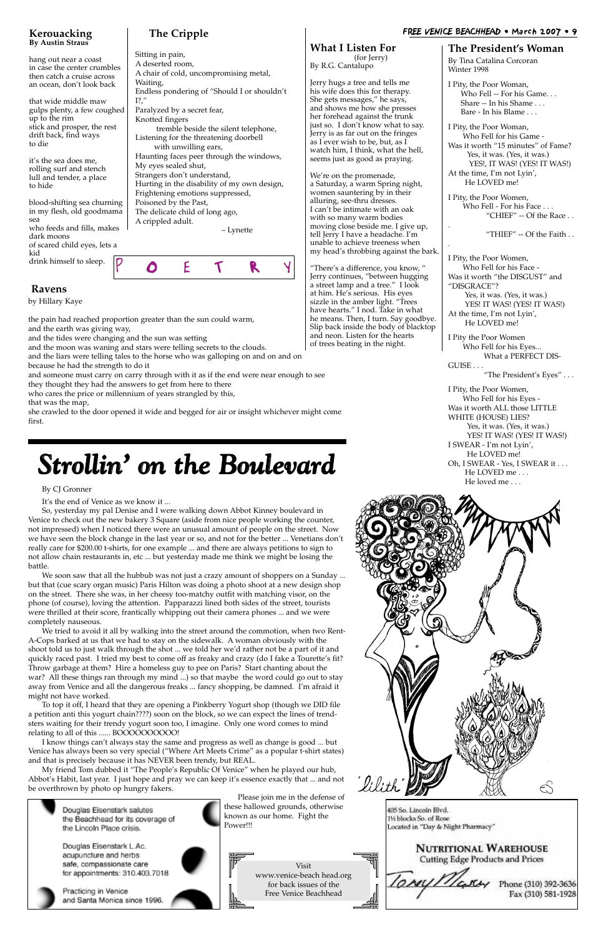#### FREE VENICE BEACHHEAD • March 2007 • 9

**The Cripple**

#### Sitting in pain, A deserted room, A chair of cold, uncompromising metal, Waiting, Endless pondering of "Should I or shouldn't  $I?$ ," Paralyzed by a secret fear, Knotted fingers tremble beside the silent telephone, Listening for the threatening doorbell with unwilling ears, Haunting faces peer through the windows, My eyes sealed shut, Strangers don't understand, Hurting in the disability of my own design, Frightening emotions suppressed, Poisoned by the Past, The delicate child of long ago,

A crippled adult.

– Lynette

**What I Listen For** (for Jerry) By R.G. Cantalupo

Jerry hugs a tree and tells me his wife does this for therapy. She gets messages," he says, and shows me how she presses her forehead against the trunk just so. I don't know what to say. Jerry is as far out on the fringes as I ever wish to be, but, as I watch him, I think, what the hell, seems just as good as praying.

PO ET R Y blood-shifting sea churning in my flesh, old goodmama sea who feeds and fills, makes dark moons of scared child eyes, lets a kid drink himself to sleep.

We're on the promenade, a Saturday, a warm Spring night, women sauntering by in their alluring, see-thru dresses. I can't be intimate with an oak with so many warm bodies moving close beside me. I give up, tell Jerry I have a headache. I'm unable to achieve treeness when my head's throbbing against the bark.

"There's a difference, you know, " Jerry continues, "between hugging a street lamp and a tree." I look at him. He's serious. His eyes sizzle in the amber light. "Trees have hearts." I nod. Take in what he means. Then, I turn. Say goodbye. Slip back inside the body of blacktop and neon. Listen for the hearts of trees beating in the night.

#### **Kerouacking By Austin Straus**

hang out near a coast in case the center crumbles then catch a cruise across an ocean, don't look back

that wide middle maw gulps plenty, a few coughed up to the rim stick and prosper, the rest drift back, find ways to die

it's the sea does me, rolling surf and stench lull and tender, a place to hide

#### **Ravens**

by Hillary Kaye

the pain had reached proportion greater than the sun could warm, and the earth was giving way,

and the tides were changing and the sun was setting

and the moon was waning and stars were telling secrets to the clouds.

and the liars were telling tales to the horse who was galloping on and on and on because he had the strength to do it

and someone must carry on carry through with it as if the end were near enough to see

they thought they had the answers to get from here to there

who cares the price or millennium of years strangled by this,

that was the map,

she crawled to the door opened it wide and begged for air or insight whichever might come first.

To top it off, I heard that they are opening a Pinkberry Yogurt shop (though we DID file a petition anti this yogurt chain????) soon on the block, so we can expect the lines of trendsters waiting for their trendy yogurt soon too, I imagine. Only one word comes to mind relating to all of this ...... BOOOOOOOOO!

#### **The President's Woman**

By Tina Catalina Corcoran Winter 1998

I Pity, the Poor Woman, Who Fell -- For his Game. . . Share -- In his Shame . . . Bare - In his Blame . . .

I Pity, the Poor Woman, Who Fell for his Game - Was it worth "15 minutes" of Fame? Yes, it was. (Yes, it was.) YES!, IT WAS! (YES! IT WAS!) At the time, I'm not Lyin', He LOVED me!

I Pity, the Poor Women, Who Fell - For his Face . . . "CHIEF" -- Of the Race . .

.

"THIEF" -- Of the Faith . .

.

I Pity, the Poor Women, Who Fell for his Face - Was it worth "the DISGUST" and "DISGRACE"? Yes, it was. (Yes, it was.) YES! IT WAS! (YES! IT WAS!) At the time, I'm not Lyin', He LOVED me!

I Pity the Poor Women Who Fell for his Eyes... What a PERFECT DIS-GUISE . . .

"The President's Eyes" . . .

I Pity, the Poor Women, Who Fell for his Eyes - Was it worth ALL those LITTLE WHITE (HOUSE) LIES? Yes, it was. (Yes, it was.) YES! IT WAS! (YES! IT WAS!) I SWEAR - I'm not Lyin', He LOVED me! Oh, I SWEAR - Yes, I SWEAR it . . . He LOVED me . . . He loved me . . .



# *Strollin' on the Boulevard*

#### By CJ Gronner

It's the end of Venice as we know it ...

So, yesterday my pal Denise and I were walking down Abbot Kinney boulevard in Venice to check out the new bakery 3 Square (aside from nice people working the counter, not impressed) when I noticed there were an unusual amount of people on the street. Now we have seen the block change in the last year or so, and not for the better ... Venetians don't really care for \$200.00 t-shirts, for one example ... and there are always petitions to sign to not allow chain restaurants in, etc ... but yesterday made me think we might be losing the battle.

We soon saw that all the hubbub was not just a crazy amount of shoppers on a Sunday ... but that (cue scary organ music) Paris Hilton was doing a photo shoot at a new design shop on the street. There she was, in her cheesy too-matchy outfit with matching visor, on the phone (of course), loving the attention. Papparazzi lined both sides of the street, tourists were thrilled at their score, frantically whipping out their camera phones ... and we were completely nauseous.

We tried to avoid it all by walking into the street around the commotion, when two Rent-A-Cops barked at us that we had to stay on the sidewalk. A woman obviously with the shoot told us to just walk through the shot ... we told her we'd rather not be a part of it and quickly raced past. I tried my best to come off as freaky and crazy (do I fake a Tourette's fit? Throw garbage at them? Hire a homeless guy to pee on Paris? Start chanting about the war? All these things ran through my mind ...) so that maybe the word could go out to stay away from Venice and all the dangerous freaks ... fancy shopping, be damned. I'm afraid it

might not have worked.

I know things can't always stay the same and progress as well as change is good ... but Venice has always been so very special ("Where Art Meets Crime" as a popular t-shirt states) and that is precisely because it has NEVER been trendy, but REAL.

My friend Tom dubbed it "The People's Republic Of Venice" when he played our hub, Abbot's Habit, last year. I just hope and pray we can keep it's essence exactly that ... and not be overthrown by photo op hungry fakers.



**NUTRITIONAL WAREHOUSE** Cutting Edge Products and Prices

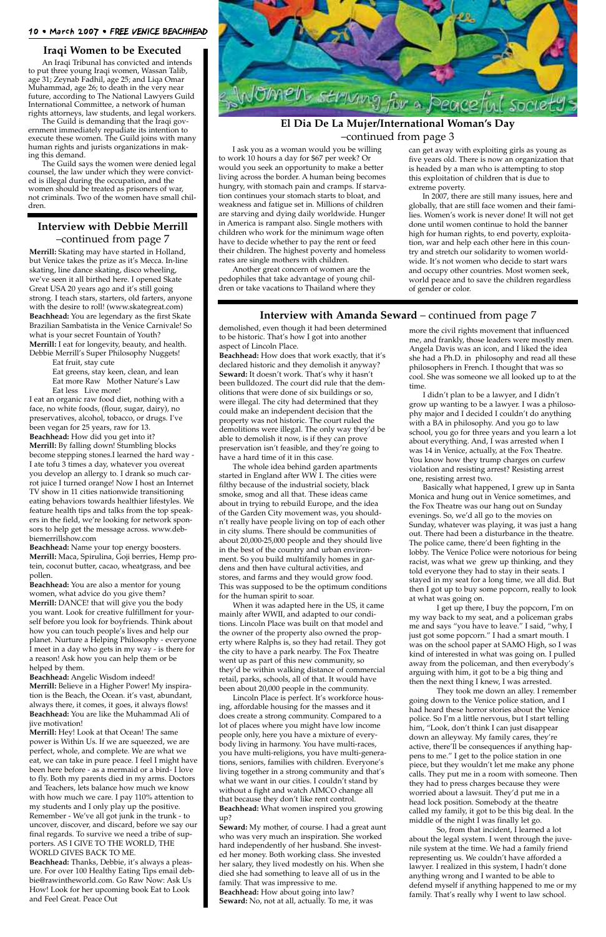#### 10 • March 2007 • FREE VENICE BEACHHEAD

I ask you as a woman would you be willing to work 10 hours a day for \$67 per week? Or would you seek an opportunity to make a better living across the border. A human being becomes hungry, with stomach pain and cramps. If starvation continues your stomach starts to bloat, and weakness and fatigue set in. Millions of children are starving and dying daily worldwide. Hunger in America is rampant also. Single mothers with children who work for the minimum wage often have to decide whether to pay the rent or feed their children. The highest poverty and homeless rates are single mothers with children.

Another great concern of women are the pedophiles that take advantage of young children or take vacations to Thailand where they

demolished, even though it had been determined to be historic. That's how I got into another aspect of Lincoln Place.

**Beachhead:** How does that work exactly, that it's declared historic and they demolish it anyway? **Seward:** It doesn't work. That's why it hasn't been bulldozed. The court did rule that the demolitions that were done of six buildings or so, were illegal. The city had determined that they could make an independent decision that the property was not historic. The court ruled the demolitions were illegal. The only way they'd be able to demolish it now, is if they can prove preservation isn't feasible, and they're going to have a hard time of it in this case.

The whole idea behind garden apartments started in England after WW I. The cities were filthy because of the industrial society, black smoke, smog and all that. These ideas came about in trying to rebuild Europe, and the idea of the Garden City movement was, you shouldn't really have people living on top of each other in city slums. There should be communities of about 20,000-25,000 people and they should live in the best of the country and urban environment. So you build multifamily homes in gardens and then have cultural activities, and stores, and farms and they would grow food. This was supposed to be the optimum conditions for the human spirit to soar.

When it was adapted here in the US, it came mainly after WWII, and adapted to our conditions. Lincoln Place was built on that model and the owner of the property also owned the property where Ralphs is, so they had retail. They got the city to have a park nearby. The Fox Theatre went up as part of this new community, so they'd be within walking distance of commercial retail, parks, schools, all of that. It would have been about 20,000 people in the community. Lincoln Place is perfect. It's workforce housing, affordable housing for the masses and it does create a strong community. Compared to a lot of places where you might have low income people only, here you have a mixture of everybody living in harmony. You have multi-races, you have multi-religions, you have multi-generations, seniors, families with children. Everyone's living together in a strong community and that's what we want in our cities. I couldn't stand by without a fight and watch AIMCO change all that because they don't like rent control. **Beachhead:** What women inspired you growing up? **Seward:** My mother, of course. I had a great aunt who was very much an inspiration. She worked hard independently of her husband. She invested her money. Both working class. She invested her salary, they lived modestly on his. When she died she had something to leave all of us in the family. That was impressive to me. **Beachhead:** How about going into law? **Seward:** No, not at all, actually. To me, it was

more the civil rights movement that influenced me, and frankly, those leaders were mostly men. Angela Davis was an icon, and I liked the idea she had a Ph.D. in philosophy and read all these philosophers in French. I thought that was so cool. She was someone we all looked up to at the time.

I didn't plan to be a lawyer, and I didn't grow up wanting to be a lawyer. I was a philosophy major and I decided I couldn't do anything with a BA in philosophy. And you go to law school, you go for three years and you learn a lot about everything. And, I was arrested when I was 14 in Venice, actually, at the Fox Theatre. You know how they trump charges on curfew violation and resisting arrest? Resisting arrest one, resisting arrest two.

Basically what happened, I grew up in Santa Monica and hung out in Venice sometimes, and the Fox Theatre was our hang out on Sunday evenings. So, we'd all go to the movies on Sunday, whatever was playing, it was just a hang out. There had been a disturbance in the theatre. The police came, there'd been fighting in the lobby. The Venice Police were notorious for being racist, was what we grew up thinking, and they told everyone they had to stay in their seats. I stayed in my seat for a long time, we all did. But then I got up to buy some popcorn, really to look at what was going on.

I get up there, I buy the popcorn, I'm on my way back to my seat, and a policeman grabs me and says "you have to leave." I said, "why, I just got some popcorn." I had a smart mouth. I was on the school paper at SAMO High, so I was kind of interested in what was going on. I pulled away from the policeman, and then everybody's arguing with him, it got to be a big thing and then the next thing I knew, I was arrested. They took me down an alley. I remember going down to the Venice police station, and I had heard these horror stories about the Venice police. So I'm a little nervous, but I start telling him, "Look, don't think I can just disappear down an alleyway. My family cares, they're active, there'll be consequences if anything happens to me." I get to the police station in one piece, but they wouldn't let me make any phone calls. They put me in a room with someone. Then they had to press charges because they were worried about a lawsuit. They'd put me in a head lock position. Somebody at the theatre called my family, it got to be this big deal. In the middle of the night I was finally let go. So, from that incident, I learned a lot about the legal system. I went through the juvenile system at the time. We had a family friend representing us. We couldn't have afforded a lawyer. I realized in this system, I hadn't done anything wrong and I wanted to be able to defend myself if anything happened to me or my family. That's really why I went to law school.

#### **Interview with Amanda Seward** – continued from page 7

#### **El Dia De La Mujer/International Woman's Day** –continued from page 3

#### **Interview with Debbie Merrill** –continued from page 7

**Merrill:** Skating may have started in Holland, but Venice takes the prize as it's Mecca. In-line skating, line dance skating, disco wheeling, we've seen it all birthed here. I opened Skate Great USA 20 years ago and it's still going strong. I teach stars, starters, old farters, anyone with the desire to roll! (www.skategreat.com) **Beachhead:** You are legendary as the first Skate Brazilian Sambatista in the Venice Carnivale! So what is your secret Fountain of Youth? **Merrill:** I eat for longevity, beauty, and health. Debbie Merrill's Super Philosophy Nuggets!

Eat fruit, stay cute

Eat greens, stay keen, clean, and lean Eat more Raw Mother Nature's Law Eat less Live more!

I eat an organic raw food diet, nothing with a face, no white foods, (flour, sugar, dairy), no preservatives, alcohol, tobacco, or drugs. I've been vegan for 25 years, raw for 13. **Beachhead:** How did you get into it? **Merrill:** By falling down! Stumbling blocks become stepping stones.I learned the hard way - I ate tofu 3 times a day, whatever you overeat you develop an allergy to. I drank so much carrot juice I turned orange! Now I host an Internet TV show in 11 cities nationwide transitioning eating behaviors towards healthier lifestyles. We feature health tips and talks from the top speakers in the field, we're looking for network sponsors to help get the message across. www.debbiemerrillshow.com

**Beachhead:** Name your top energy boosters. **Merrill:** Maca, Spirulina, Goji berries, Hemp protein, coconut butter, cacao, wheatgrass, and bee pollen.

**Beachhead:** You are also a mentor for young women, what advice do you give them? **Merrill:** DANCE! that will give you the body you want. Look for creative fulfillment for yourself before you look for boyfriends. Think about how you can touch people's lives and help our planet. Nurture a Helping Philosophy - everyone I meet in a day who gets in my way - is there for a reason! Ask how you can help them or be helped by them.

**Beachhead:** Angelic Wisdom indeed! **Merrill:** Believe in a Higher Power! My inspiration is the Beach, the Ocean. it's vast, abundant, always there, it comes, it goes, it always flows! **Beachhead:** You are like the Muhammad Ali of jive motivation! **Merrill:** Hey! Look at that Ocean! The same power is Within Us. If we are squeezed, we are perfect, whole, and complete. We are what we eat, we can take in pure peace. I feel I might have been here before - as a mermaid or a bird- I love to fly. Both my parents died in my arms. Doctors and Teachers, lets balance how much we know with how much we care. I pay 110% attention to my students and I only play up the positive. Remember - We've all got junk in the trunk - to uncover, discover, and discard, before we say our final regards. To survive we need a tribe of supporters. AS I GIVE TO THE WORLD, THE WORLD GIVES BACK TO ME. **Beachhead:** Thanks, Debbie, it's always a pleasure. For over 100 Healthy Eating Tips email debbie@rawintheworld.com. Go Raw Now: Ask Us How! Look for her upcoming book Eat to Look and Feel Great. Peace Out



can get away with exploiting girls as young as five years old. There is now an organization that is headed by a man who is attempting to stop this exploitation of children that is due to extreme poverty.

In 2007, there are still many issues, here and globally, that are still face women and their families. Women's work is never done! It will not get done until women continue to hold the banner high for human rights, to end poverty, exploitation, war and help each other here in this country and stretch our solidarity to women worldwide. It's not women who decide to start wars and occupy other countries. Most women seek, world peace and to save the children regardless of gender or color.

#### **Iraqi Women to be Executed**

An Iraqi Tribunal has convicted and intends to put three young Iraqi women, Wassan Talib, age 31; Zeynab Fadhil, age 25; and Liqa Omar Muhammad, age 26; to death in the very near future, according to The National Lawyers Guild International Committee, a network of human rights attorneys, law students, and legal workers.

The Guild is demanding that the Iraqi government immediately repudiate its intention to execute these women. The Guild joins with many human rights and jurists organizations in making this demand.

The Guild says the women were denied legal counsel, the law under which they were convicted is illegal during the occupation, and the women should be treated as prisoners of war, not criminals. Two of the women have small children.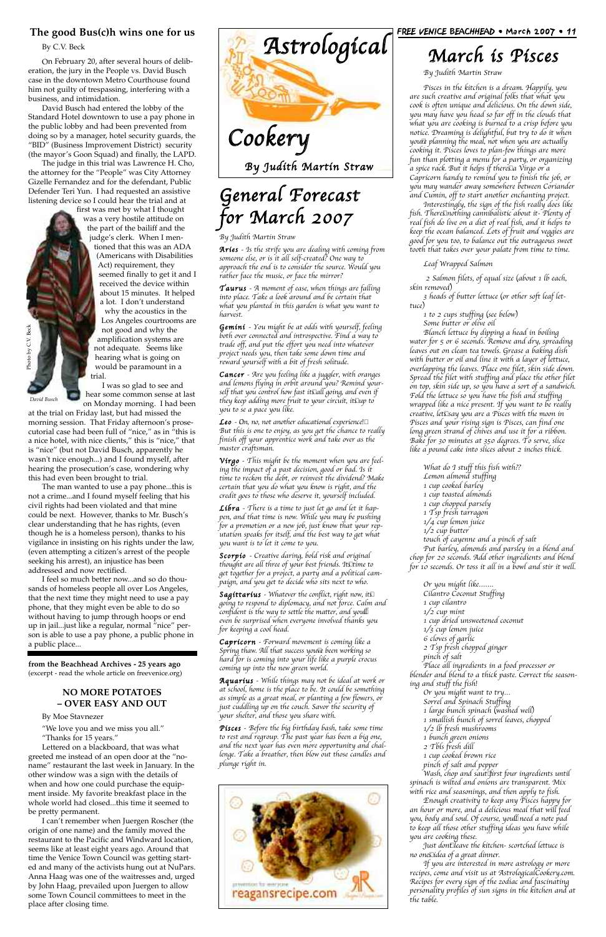#### **The good Bus(c)h wins one for us**

By C.V. Beck

On February 20, after several hours of deliberation, the jury in the People vs. David Busch case in the downtown Metro Courthouse found him not guilty of trespassing, interfering with a business, and intimidation.

David Busch had entered the lobby of the Standard Hotel downtown to use a pay phone in the public lobby and had been prevented from doing so by a manager, hotel security guards, the "BID" (Business Improvement District) security (the mayor's Goon Squad) and finally, the LAPD.

The judge in this trial was Lawrence H. Cho, the attorney for the "People" was City Attorney Gizelle Fernandez and for the defendant, Public Defender Teri Yun. I had requested an assistive listening device so I could hear the trial and at

first was met by what I thought was a very hostile attitude on the part of the bailiff and the judge's clerk. When I mentioned that this was an ADA (Americans with Disabilities Act) requirement, they seemed finally to get it and I received the device within about 15 minutes. It helped a lot. I don't understand why the acoustics in the Los Angeles courtrooms are not good and why the amplification systems are not adequate. Seems like hearing what is going on would be paramount in a trial.

I was so glad to see and hear some common sense at last on Monday morning. I had been

at the trial on Friday last, but had missed the morning session. That Friday afternoon's prosecutorial case had been full of "nice," as in "this is a nice hotel, with nice clients," this is "nice," that is "nice" (but not David Busch, apparently he wasn't nice enough...) and I found myself, after hearing the prosecution's case, wondering why this had even been brought to trial.

**Leo** - On, no, not another educational experience! $\Box$ But this is one to enjoy, as you get the chance to really finish off your apprentice work and take over as the master craftsman.

The man wanted to use a pay phone...this is not a crime...and I found myself feeling that his civil rights had been violated and that mine could be next. However, thanks to Mr. Busch's clear understanding that he has rights, (even though he is a homeless person), thanks to his vigilance in insisting on his rights under the law, (even attempting a citizen's arrest of the people seeking his arrest), an injustice has been addressed and now rectified.

> **Sagittarius** - Whatever the conflict, right now, it  $\square$ going to respond to diplomacy, and not force. Calm and confident is the way to settle the matter, and youll even be surprised when everyone involved thanks you for keeping a cool head.

I feel so much better now...and so do thousands of homeless people all over Los Angeles, that the next time they might need to use a pay phone, that they might even be able to do so without having to jump through hoops or end up in jail...just like a regular, normal "nice" person is able to use a pay phone, a public phone in a public place...

#### FREE VENICE BEACHHEAD • March 2007 • 11



# General Forecast for March 2007

By Judith Martin Straw

Aries - Is the strife you are dealing with coming from someone else, or is it all self-created? One way to approach the end is to consider the source. Would you rather face the music, or face the mirror?

Taurus - A moment of ease, when things are falling into place. Take a look around and be certain that what you planted in this garden is what you want to harvest.

Gemini - You might be at odds with yourself, feeling both over connected and introspective. Find a way to trade off, and put the effort you need into whatever project needs you, then take some down time and reward yourself with a bit of fresh solitude.

Cancer - Are you feeling like a juggler, with oranges and lemons flying in orbit around you? Remind yourself that you control how fast it $\mathbb S$ all going, and even if they keep adding more fruit to your circuit, it $\mathbb S$ up to you to se a pace you like.

Virgo - This might be the moment when you are feeling the impact of a past decision, good or bad. Is it time to reckon the debt, or reinvest the dividend? Make certain that you do what you know is right, and the credit goes to those who deserve it, yourself included.

Libra - There is a time to just let go and let it happen, and that time is now. While you may be pushing for a promotion or a new job, just know that your reputation speaks for itself, and the best way to get what you want is to let it come to you.

Scorpio - Creative daring, bold risk and original thought are all three of your best friends. It $\Sigma$ time to get together for a project, a party and a political campaign, and you get to decide who sits next to who.

Capricorn - Forward movement is coming like a Spring thaw. All that success you $\overline{v}$ e been working so hard for is coming into your life like a purple crocus coming up into the new green world.

Photo by C.V. BeckPhoto by C.V. Beck

> Aquarius - While things may not be ideal at work or at school, home is the place to be. It could be something as simple as a great meal, or planting a few flowers, or just cuddling up on the couch. Savor the security of your shelter, and those you share with.

Pisces - Before the big birthday bash, take some time to rest and regroup. The past year has been a big one, and the next year has even more opportunity and challenge. Take a breather, then blow out those candles and plunge right in.



## March is Pisces

By Judith Martin Straw

Pisces in the kitchen is a dream. Happily, you are such creative and original folks that what you cook is often unique and delicious. On the down side, you may have you head so far off in the clouds that what you are cooking is burned to a crisp before you notice. Dreaming is delightful, but try to do it when youte planning the meal, not when you are actually cooking it. Pisces loves to plan-few things are more fun than plotting a menu for a party, or organizing  $\tilde{a}$  spice rack. But it helps if there $\bar{\epsilon}$  a  $\tilde{\nu}$ irgo or a Capricorn handy to remind you to finish the job, or you may wander away somewhere between Coriander and Cumin, off to start another enchanting project.

Interestingly, the sign of the fish really does like fish. There $\Box$ nothing cannibalistic about it- Plenty of real fish do live on a diet of real fish, and it helps to keep the ocean balanced. Lots of fruit and veggies are good for you too, to balance out the outrageous sweet tooth that takes over your palate from time to time.

Leaf Wrapped Salmon

2 Salmon filets, of equal size (about 1 lb each, skin removed)

3 heads of butter lettuce (or other soft leaf lettuce)

1 to 2 cups stuffing (see below)

Some butter or olive oil

Blanch lettuce by dipping a head in boiling water for 5 or 6 seconds. Remove and dry, spreading leaves out on clean tea towels. Grease a baking dish with butter or oil and line it with a layer of lettuce, overlapping the leaves. Place one filet, skin side down. Spread the filet with stuffing and place the other filet on top, skin side up, so you have a sort of a sandwich. Fold the lettuce so you have the fish and stuffing wrapped like a nice present. If you want to be really creative, let $\Sigma$ say you are a Pisces with the moon in Pisces and your rising sign is Pisces, can find one long green strand of chives and use it for a ribbon. Bake for 30 minutes at 350 degrees. To serve, slice like a pound cake into slices about 2 inches thick.

What do I stuff this fish with?? Lemon almond stuffing 1 cup cooked barley 1 cup toasted almonds 1 cup chopped parsely 1 Tsp fresh tarragon 1/4 cup lemon juice 1/2 cup butter touch of cayenne and a pinch of salt Put barley, almonds and parsley in a blend and chop for 20 seconds. Add other ingredients and blend for 10 seconds. Or toss it all in a bowl and stir it well.

Or you might like……. Cilantro Coconut Stuffing 1 cup cilantro  $1/2$  cup mint 1 cup dried unsweetened coconut 1/3 cup lemon juice 6 cloves of garlic 2 Tsp fresh chopped ginger pinch of salt Place all ingredients in a food processor or

blender and blend to a thick paste. Correct the seasoning and stuff the fish! Or you might want to try… Sorrel and Spinach Stuffing 1 large bunch spinach (washed well) 1 smallish bunch of sorrel leaves, chopped 1/2 lb fresh mushrooms 1 bunch green onions 2 Tbls fresh dill 1 cup cooked brown rice pinch of salt and pepper Wash, chop and saut $\tt{f\!irst}$  four ingredients until spinach is wilted and onions are transparent. Mix with rice and seasonings, and then apply to fish. Enough creativity to keep any Pisces happy for an hour or more, and a delicious meal that will feed you, body and soul. Of course, you'll need a note pad to keep all those other stuffing ideas you have while you are cooking these. Just don $t$  leave the kitchen- scortched lettuce is no one $\Sigma$ idea of a great dinner. If you are interested in more astrology or more recipes, come and visit us at AstrologicalCookery.com. Recipes for every sign of the zodiac and fascinating personality profiles of sun signs in the kitchen and at the table.

**from the Beachhead Archives - 25 years ago** (excerpt - read the whole article on freevenice.org)

#### **NO MORE POTATOES – OVER EASY AND OUT**

#### By Moe Stavnezer

"We love you and we miss you all." "Thanks for 15 years."

Lettered on a blackboard, that was what greeted me instead of an open door at the "noname" restaurant the last week in January. In the other window was a sign with the details of when and how one could purchase the equipment inside. My favorite breakfast place in the whole world had closed...this time it seemed to be pretty permanent.

I can't remember when Juergen Roscher (the origin of one name) and the family moved the restaurant to the Pacific and Windward location, seems like at least eight years ago. Around that time the Venice Town Council was getting started and many of the activists hung out at NuPars. Anna Haag was one of the waitresses and, urged by John Haag, prevailed upon Juergen to allow some Town Council committees to meet in the place after closing time.

*David Busch*